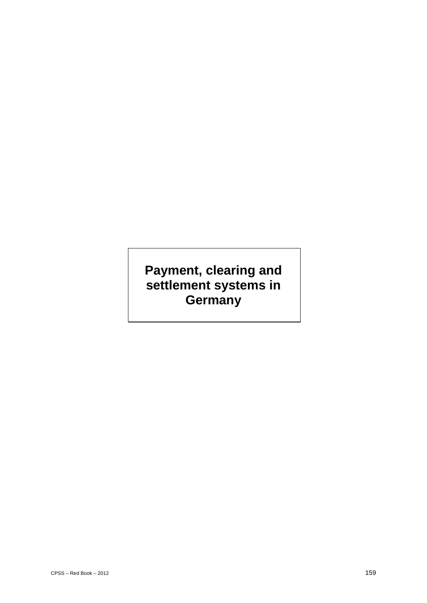# **Payment, clearing and settlement systems in Germany**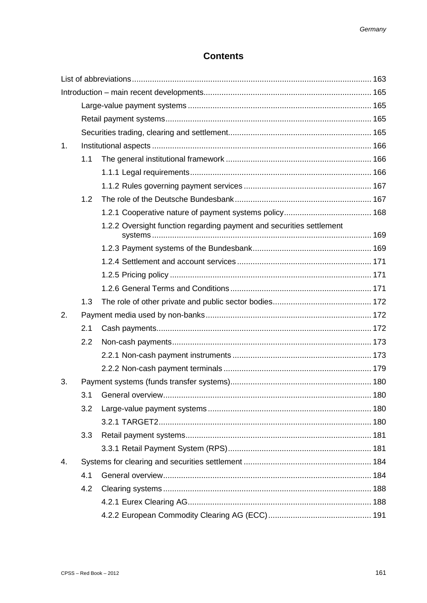# **Contents**

| 1. |     |                                                                      |  |  |  |  |
|----|-----|----------------------------------------------------------------------|--|--|--|--|
|    | 1.1 |                                                                      |  |  |  |  |
|    |     |                                                                      |  |  |  |  |
|    |     |                                                                      |  |  |  |  |
|    | 1.2 |                                                                      |  |  |  |  |
|    |     |                                                                      |  |  |  |  |
|    |     | 1.2.2 Oversight function regarding payment and securities settlement |  |  |  |  |
|    |     |                                                                      |  |  |  |  |
|    |     |                                                                      |  |  |  |  |
|    |     |                                                                      |  |  |  |  |
|    |     |                                                                      |  |  |  |  |
|    | 1.3 |                                                                      |  |  |  |  |
| 2. |     |                                                                      |  |  |  |  |
|    | 2.1 |                                                                      |  |  |  |  |
|    | 2.2 |                                                                      |  |  |  |  |
|    |     |                                                                      |  |  |  |  |
|    |     |                                                                      |  |  |  |  |
| 3. |     |                                                                      |  |  |  |  |
|    |     | 180                                                                  |  |  |  |  |
|    | 3.2 |                                                                      |  |  |  |  |
|    |     |                                                                      |  |  |  |  |
|    | 3.3 |                                                                      |  |  |  |  |
|    |     |                                                                      |  |  |  |  |
| 4. |     |                                                                      |  |  |  |  |
|    | 4.1 |                                                                      |  |  |  |  |
|    | 4.2 |                                                                      |  |  |  |  |
|    |     |                                                                      |  |  |  |  |
|    |     |                                                                      |  |  |  |  |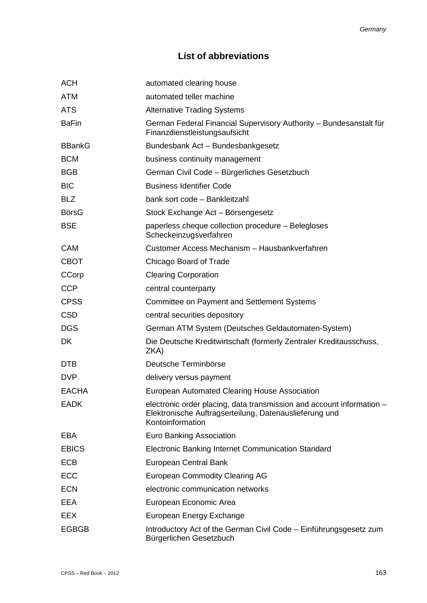# **List of abbreviations**

| <b>ACH</b>    | automated clearing house                                                                                                                            |
|---------------|-----------------------------------------------------------------------------------------------------------------------------------------------------|
| <b>ATM</b>    | automated teller machine                                                                                                                            |
| <b>ATS</b>    | <b>Alternative Trading Systems</b>                                                                                                                  |
| <b>BaFin</b>  | German Federal Financial Supervisory Authority - Bundesanstalt für<br>Finanzdienstleistungsaufsicht                                                 |
| <b>BBankG</b> | Bundesbank Act - Bundesbankgesetz                                                                                                                   |
| <b>BCM</b>    | business continuity management                                                                                                                      |
| <b>BGB</b>    | German Civil Code - Bürgerliches Gesetzbuch                                                                                                         |
| <b>BIC</b>    | <b>Business Identifier Code</b>                                                                                                                     |
| <b>BLZ</b>    | bank sort code - Bankleitzahl                                                                                                                       |
| <b>BörsG</b>  | Stock Exchange Act - Börsengesetz                                                                                                                   |
| <b>BSE</b>    | paperless cheque collection procedure - Belegloses<br>Scheckeinzugsverfahren                                                                        |
| <b>CAM</b>    | Customer Access Mechanism - Hausbankverfahren                                                                                                       |
| <b>CBOT</b>   | Chicago Board of Trade                                                                                                                              |
| CCorp         | <b>Clearing Corporation</b>                                                                                                                         |
| <b>CCP</b>    | central counterparty                                                                                                                                |
| <b>CPSS</b>   | <b>Committee on Payment and Settlement Systems</b>                                                                                                  |
| <b>CSD</b>    | central securities depository                                                                                                                       |
| <b>DGS</b>    | German ATM System (Deutsches Geldautomaten-System)                                                                                                  |
| <b>DK</b>     | Die Deutsche Kreditwirtschaft (formerly Zentraler Kreditausschuss,<br>ZKA)                                                                          |
| <b>DTB</b>    | Deutsche Terminbörse                                                                                                                                |
| <b>DVP</b>    | delivery versus payment                                                                                                                             |
| <b>EACHA</b>  | European Automated Clearing House Association                                                                                                       |
| <b>EADK</b>   | electronic order placing, data transmission and account information -<br>Elektronische Auftragserteilung, Datenauslieferung und<br>Kontoinformation |
| <b>EBA</b>    | <b>Euro Banking Association</b>                                                                                                                     |
| <b>EBICS</b>  | Electronic Banking Internet Communication Standard                                                                                                  |
| <b>ECB</b>    | European Central Bank                                                                                                                               |
| <b>ECC</b>    | <b>European Commodity Clearing AG</b>                                                                                                               |
| <b>ECN</b>    | electronic communication networks                                                                                                                   |
| <b>EEA</b>    | European Economic Area                                                                                                                              |
| <b>EEX</b>    | European Energy Exchange                                                                                                                            |
| <b>EGBGB</b>  | Introductory Act of the German Civil Code - Einführungsgesetz zum<br>Bürgerlichen Gesetzbuch                                                        |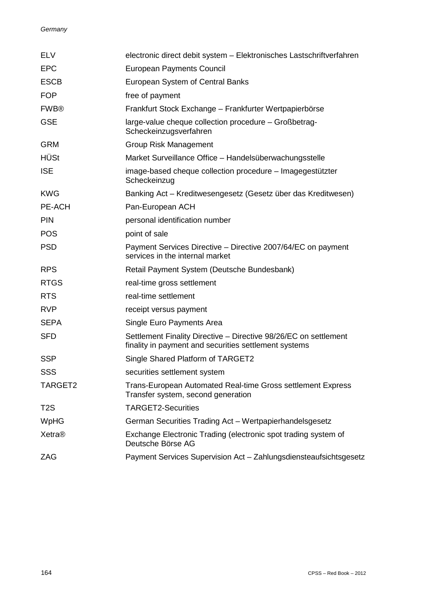#### *Germany*

| <b>ELV</b>       | electronic direct debit system - Elektronisches Lastschriftverfahren                                                      |
|------------------|---------------------------------------------------------------------------------------------------------------------------|
| <b>EPC</b>       | <b>European Payments Council</b>                                                                                          |
| <b>ESCB</b>      | European System of Central Banks                                                                                          |
| <b>FOP</b>       | free of payment                                                                                                           |
| <b>FWB®</b>      | Frankfurt Stock Exchange - Frankfurter Wertpapierbörse                                                                    |
| <b>GSE</b>       | large-value cheque collection procedure - Großbetrag-<br>Scheckeinzugsverfahren                                           |
| <b>GRM</b>       | <b>Group Risk Management</b>                                                                                              |
| <b>HÜSt</b>      | Market Surveillance Office - Handelsüberwachungsstelle                                                                    |
| <b>ISE</b>       | image-based cheque collection procedure - Imagegestützter<br>Scheckeinzug                                                 |
| <b>KWG</b>       | Banking Act – Kreditwesengesetz (Gesetz über das Kreditwesen)                                                             |
| PE-ACH           | Pan-European ACH                                                                                                          |
| <b>PIN</b>       | personal identification number                                                                                            |
| <b>POS</b>       | point of sale                                                                                                             |
| <b>PSD</b>       | Payment Services Directive – Directive 2007/64/EC on payment<br>services in the internal market                           |
| <b>RPS</b>       | Retail Payment System (Deutsche Bundesbank)                                                                               |
| <b>RTGS</b>      | real-time gross settlement                                                                                                |
| <b>RTS</b>       | real-time settlement                                                                                                      |
| <b>RVP</b>       | receipt versus payment                                                                                                    |
| <b>SEPA</b>      | Single Euro Payments Area                                                                                                 |
| <b>SFD</b>       | Settlement Finality Directive - Directive 98/26/EC on settlement<br>finality in payment and securities settlement systems |
| <b>SSP</b>       | Single Shared Platform of TARGET2                                                                                         |
| SSS              | securities settlement system                                                                                              |
| TARGET2          | Trans-European Automated Real-time Gross settlement Express<br>Transfer system, second generation                         |
| T <sub>2</sub> S | <b>TARGET2-Securities</b>                                                                                                 |
| WpHG             | German Securities Trading Act - Wertpapierhandelsgesetz                                                                   |
| Xetra®           | Exchange Electronic Trading (electronic spot trading system of<br>Deutsche Börse AG                                       |
| ZAG              | Payment Services Supervision Act - Zahlungsdiensteaufsichtsgesetz                                                         |
|                  |                                                                                                                           |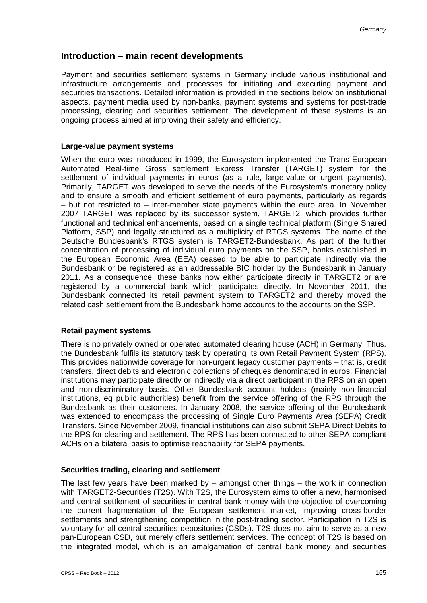# **Introduction – main recent developments**

Payment and securities settlement systems in Germany include various institutional and infrastructure arrangements and processes for initiating and executing payment and securities transactions. Detailed information is provided in the sections below on institutional aspects, payment media used by non-banks, payment systems and systems for post-trade processing, clearing and securities settlement. The development of these systems is an ongoing process aimed at improving their safety and efficiency.

#### **Large-value payment systems**

When the euro was introduced in 1999, the Eurosystem implemented the Trans-European Automated Real-time Gross settlement Express Transfer (TARGET) system for the settlement of individual payments in euros (as a rule, large-value or urgent payments). Primarily, TARGET was developed to serve the needs of the Eurosystem's monetary policy and to ensure a smooth and efficient settlement of euro payments, particularly as regards – but not restricted to – inter-member state payments within the euro area. In November 2007 TARGET was replaced by its successor system, TARGET2, which provides further functional and technical enhancements, based on a single technical platform (Single Shared Platform, SSP) and legally structured as a multiplicity of RTGS systems. The name of the Deutsche Bundesbank's RTGS system is TARGET2-Bundesbank. As part of the further concentration of processing of individual euro payments on the SSP, banks established in the European Economic Area (EEA) ceased to be able to participate indirectly via the Bundesbank or be registered as an addressable BIC holder by the Bundesbank in January 2011. As a consequence, these banks now either participate directly in TARGET2 or are registered by a commercial bank which participates directly. In November 2011, the Bundesbank connected its retail payment system to TARGET2 and thereby moved the related cash settlement from the Bundesbank home accounts to the accounts on the SSP.

#### **Retail payment systems**

There is no privately owned or operated automated clearing house (ACH) in Germany. Thus, the Bundesbank fulfils its statutory task by operating its own Retail Payment System (RPS). This provides nationwide coverage for non-urgent legacy customer payments – that is, credit transfers, direct debits and electronic collections of cheques denominated in euros. Financial institutions may participate directly or indirectly via a direct participant in the RPS on an open and non-discriminatory basis. Other Bundesbank account holders (mainly non-financial institutions, eg public authorities) benefit from the service offering of the RPS through the Bundesbank as their customers. In January 2008, the service offering of the Bundesbank was extended to encompass the processing of Single Euro Payments Area (SEPA) Credit Transfers. Since November 2009, financial institutions can also submit SEPA Direct Debits to the RPS for clearing and settlement. The RPS has been connected to other SEPA-compliant ACHs on a bilateral basis to optimise reachability for SEPA payments.

#### **Securities trading, clearing and settlement**

The last few years have been marked by  $-$  amongst other things  $-$  the work in connection with TARGET2-Securities (T2S). With T2S, the Eurosystem aims to offer a new, harmonised and central settlement of securities in central bank money with the objective of overcoming the current fragmentation of the European settlement market, improving cross-border settlements and strengthening competition in the post-trading sector. Participation in T2S is voluntary for all central securities depositories (CSDs). T2S does not aim to serve as a new pan-European CSD, but merely offers settlement services. The concept of T2S is based on the integrated model, which is an amalgamation of central bank money and securities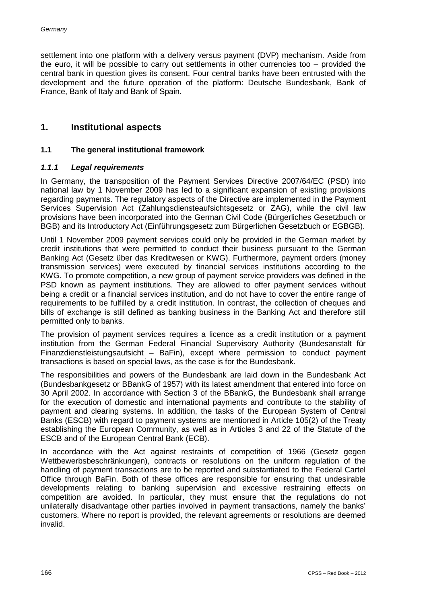settlement into one platform with a delivery versus payment (DVP) mechanism. Aside from the euro, it will be possible to carry out settlements in other currencies too – provided the central bank in question gives its consent. Four central banks have been entrusted with the development and the future operation of the platform: Deutsche Bundesbank, Bank of France, Bank of Italy and Bank of Spain.

# **1. Institutional aspects**

#### **1.1 The general institutional framework**

#### *1.1.1 Legal requirements*

In Germany, the transposition of the Payment Services Directive 2007/64/EC (PSD) into national law by 1 November 2009 has led to a significant expansion of existing provisions regarding payments. The regulatory aspects of the Directive are implemented in the Payment Services Supervision Act (Zahlungsdiensteaufsichtsgesetz or ZAG), while the civil law provisions have been incorporated into the German Civil Code (Bürgerliches Gesetzbuch or BGB) and its Introductory Act (Einführungsgesetz zum Bürgerlichen Gesetzbuch or EGBGB).

Until 1 November 2009 payment services could only be provided in the German market by credit institutions that were permitted to conduct their business pursuant to the German Banking Act (Gesetz über das Kreditwesen or KWG). Furthermore, payment orders (money transmission services) were executed by financial services institutions according to the KWG. To promote competition, a new group of payment service providers was defined in the PSD known as payment institutions. They are allowed to offer payment services without being a credit or a financial services institution, and do not have to cover the entire range of requirements to be fulfilled by a credit institution. In contrast, the collection of cheques and bills of exchange is still defined as banking business in the Banking Act and therefore still permitted only to banks.

The provision of payment services requires a licence as a credit institution or a payment institution from the German Federal Financial Supervisory Authority (Bundesanstalt für Finanzdienstleistungsaufsicht – BaFin), except where permission to conduct payment transactions is based on special laws, as the case is for the Bundesbank.

The responsibilities and powers of the Bundesbank are laid down in the Bundesbank Act (Bundesbankgesetz or BBankG of 1957) with its latest amendment that entered into force on 30 April 2002. In accordance with Section 3 of the BBankG, the Bundesbank shall arrange for the execution of domestic and international payments and contribute to the stability of payment and clearing systems. In addition, the tasks of the European System of Central Banks (ESCB) with regard to payment systems are mentioned in Article 105(2) of the Treaty establishing the European Community, as well as in Articles 3 and 22 of the Statute of the ESCB and of the European Central Bank (ECB).

In accordance with the Act against restraints of competition of 1966 (Gesetz gegen Wettbewerbsbeschränkungen), contracts or resolutions on the uniform regulation of the handling of payment transactions are to be reported and substantiated to the Federal Cartel Office through BaFin. Both of these offices are responsible for ensuring that undesirable developments relating to banking supervision and excessive restraining effects on competition are avoided. In particular, they must ensure that the regulations do not unilaterally disadvantage other parties involved in payment transactions, namely the banks' customers. Where no report is provided, the relevant agreements or resolutions are deemed invalid.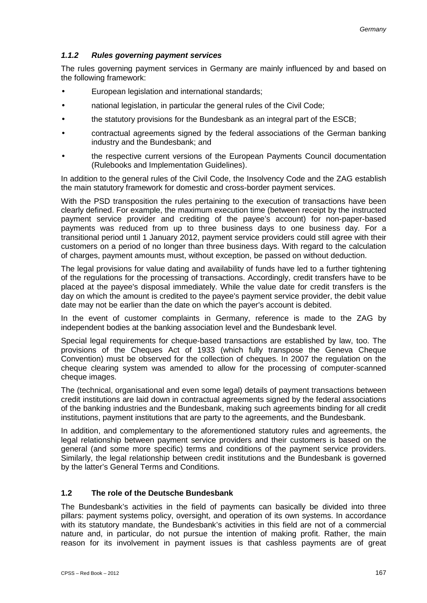# *1.1.2 Rules governing payment services*

The rules governing payment services in Germany are mainly influenced by and based on the following framework:

- European legislation and international standards;
- national legislation, in particular the general rules of the Civil Code;
- the statutory provisions for the Bundesbank as an integral part of the ESCB;
- contractual agreements signed by the federal associations of the German banking industry and the Bundesbank; and
- the respective current versions of the European Payments Council documentation (Rulebooks and Implementation Guidelines).

In addition to the general rules of the Civil Code, the Insolvency Code and the ZAG establish the main statutory framework for domestic and cross-border payment services.

With the PSD transposition the rules pertaining to the execution of transactions have been clearly defined. For example, the maximum execution time (between receipt by the instructed payment service provider and crediting of the payee's account) for non-paper-based payments was reduced from up to three business days to one business day. For a transitional period until 1 January 2012, payment service providers could still agree with their customers on a period of no longer than three business days. With regard to the calculation of charges, payment amounts must, without exception, be passed on without deduction.

The legal provisions for value dating and availability of funds have led to a further tightening of the regulations for the processing of transactions. Accordingly, credit transfers have to be placed at the payee's disposal immediately. While the value date for credit transfers is the day on which the amount is credited to the payee's payment service provider, the debit value date may not be earlier than the date on which the payer's account is debited.

In the event of customer complaints in Germany, reference is made to the ZAG by independent bodies at the banking association level and the Bundesbank level.

Special legal requirements for cheque-based transactions are established by law, too. The provisions of the Cheques Act of 1933 (which fully transpose the Geneva Cheque Convention) must be observed for the collection of cheques. In 2007 the regulation on the cheque clearing system was amended to allow for the processing of computer-scanned cheque images.

The (technical, organisational and even some legal) details of payment transactions between credit institutions are laid down in contractual agreements signed by the federal associations of the banking industries and the Bundesbank, making such agreements binding for all credit institutions, payment institutions that are party to the agreements, and the Bundesbank.

In addition, and complementary to the aforementioned statutory rules and agreements, the legal relationship between payment service providers and their customers is based on the general (and some more specific) terms and conditions of the payment service providers. Similarly, the legal relationship between credit institutions and the Bundesbank is governed by the latter's General Terms and Conditions.

#### **1.2 The role of the Deutsche Bundesbank**

The Bundesbank's activities in the field of payments can basically be divided into three pillars: payment systems policy, oversight, and operation of its own systems. In accordance with its statutory mandate, the Bundesbank's activities in this field are not of a commercial nature and, in particular, do not pursue the intention of making profit. Rather, the main reason for its involvement in payment issues is that cashless payments are of great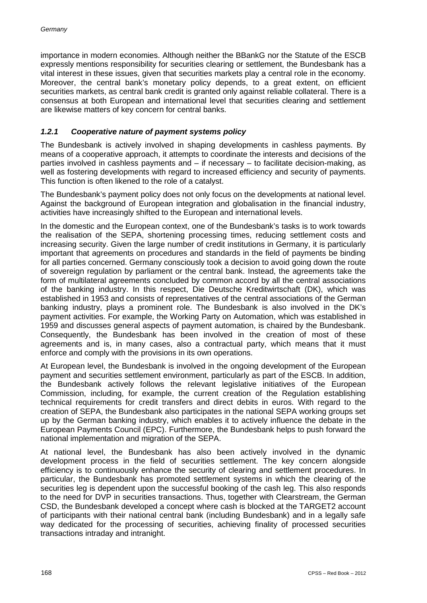importance in modern economies. Although neither the BBankG nor the Statute of the ESCB expressly mentions responsibility for securities clearing or settlement, the Bundesbank has a vital interest in these issues, given that securities markets play a central role in the economy. Moreover, the central bank's monetary policy depends, to a great extent, on efficient securities markets, as central bank credit is granted only against reliable collateral. There is a consensus at both European and international level that securities clearing and settlement are likewise matters of key concern for central banks.

## *1.2.1 Cooperative nature of payment systems policy*

The Bundesbank is actively involved in shaping developments in cashless payments. By means of a cooperative approach, it attempts to coordinate the interests and decisions of the parties involved in cashless payments and – if necessary – to facilitate decision-making, as well as fostering developments with regard to increased efficiency and security of payments. This function is often likened to the role of a catalyst.

The Bundesbank's payment policy does not only focus on the developments at national level. Against the background of European integration and globalisation in the financial industry, activities have increasingly shifted to the European and international levels.

In the domestic and the European context, one of the Bundesbank's tasks is to work towards the realisation of the SEPA, shortening processing times, reducing settlement costs and increasing security. Given the large number of credit institutions in Germany, it is particularly important that agreements on procedures and standards in the field of payments be binding for all parties concerned. Germany consciously took a decision to avoid going down the route of sovereign regulation by parliament or the central bank. Instead, the agreements take the form of multilateral agreements concluded by common accord by all the central associations of the banking industry. In this respect, Die Deutsche Kreditwirtschaft (DK), which was established in 1953 and consists of representatives of the central associations of the German banking industry, plays a prominent role. The Bundesbank is also involved in the DK's payment activities. For example, the Working Party on Automation, which was established in 1959 and discusses general aspects of payment automation, is chaired by the Bundesbank. Consequently, the Bundesbank has been involved in the creation of most of these agreements and is, in many cases, also a contractual party, which means that it must enforce and comply with the provisions in its own operations.

At European level, the Bundesbank is involved in the ongoing development of the European payment and securities settlement environment, particularly as part of the ESCB. In addition, the Bundesbank actively follows the relevant legislative initiatives of the European Commission, including, for example, the current creation of the Regulation establishing technical requirements for credit transfers and direct debits in euros. With regard to the creation of SEPA, the Bundesbank also participates in the national SEPA working groups set up by the German banking industry, which enables it to actively influence the debate in the European Payments Council (EPC). Furthermore, the Bundesbank helps to push forward the national implementation and migration of the SEPA.

At national level, the Bundesbank has also been actively involved in the dynamic development process in the field of securities settlement. The key concern alongside efficiency is to continuously enhance the security of clearing and settlement procedures. In particular, the Bundesbank has promoted settlement systems in which the clearing of the securities leg is dependent upon the successful booking of the cash leg. This also responds to the need for DVP in securities transactions. Thus, together with Clearstream, the German CSD, the Bundesbank developed a concept where cash is blocked at the TARGET2 account of participants with their national central bank (including Bundesbank) and in a legally safe way dedicated for the processing of securities, achieving finality of processed securities transactions intraday and intranight.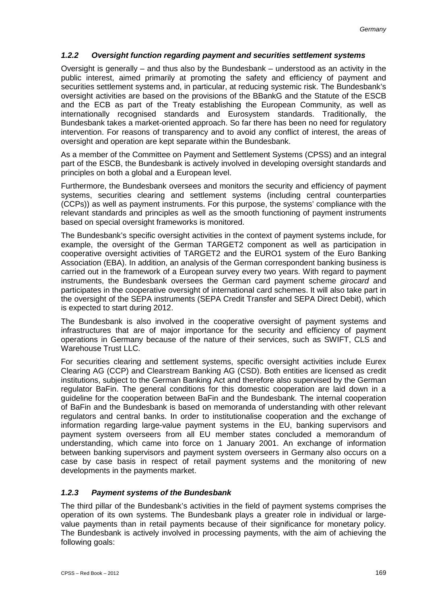# *1.2.2 Oversight function regarding payment and securities settlement systems*

Oversight is generally – and thus also by the Bundesbank – understood as an activity in the public interest, aimed primarily at promoting the safety and efficiency of payment and securities settlement systems and, in particular, at reducing systemic risk. The Bundesbank's oversight activities are based on the provisions of the BBankG and the Statute of the ESCB and the ECB as part of the Treaty establishing the European Community, as well as internationally recognised standards and Eurosystem standards. Traditionally, the Bundesbank takes a market-oriented approach. So far there has been no need for regulatory intervention. For reasons of transparency and to avoid any conflict of interest, the areas of oversight and operation are kept separate within the Bundesbank.

As a member of the Committee on Payment and Settlement Systems (CPSS) and an integral part of the ESCB, the Bundesbank is actively involved in developing oversight standards and principles on both a global and a European level.

Furthermore, the Bundesbank oversees and monitors the security and efficiency of payment systems, securities clearing and settlement systems (including central counterparties (CCPs)) as well as payment instruments. For this purpose, the systems' compliance with the relevant standards and principles as well as the smooth functioning of payment instruments based on special oversight frameworks is monitored.

The Bundesbank's specific oversight activities in the context of payment systems include, for example, the oversight of the German TARGET2 component as well as participation in cooperative oversight activities of TARGET2 and the EURO1 system of the Euro Banking Association (EBA). In addition, an analysis of the German correspondent banking business is carried out in the framework of a European survey every two years. With regard to payment instruments, the Bundesbank oversees the German card payment scheme *girocard* and participates in the cooperative oversight of international card schemes. It will also take part in the oversight of the SEPA instruments (SEPA Credit Transfer and SEPA Direct Debit), which is expected to start during 2012.

The Bundesbank is also involved in the cooperative oversight of payment systems and infrastructures that are of major importance for the security and efficiency of payment operations in Germany because of the nature of their services, such as SWIFT, CLS and Warehouse Trust LLC.

For securities clearing and settlement systems, specific oversight activities include Eurex Clearing AG (CCP) and Clearstream Banking AG (CSD). Both entities are licensed as credit institutions, subject to the German Banking Act and therefore also supervised by the German regulator BaFin. The general conditions for this domestic cooperation are laid down in a guideline for the cooperation between BaFin and the Bundesbank. The internal cooperation of BaFin and the Bundesbank is based on memoranda of understanding with other relevant regulators and central banks. In order to institutionalise cooperation and the exchange of information regarding large-value payment systems in the EU, banking supervisors and payment system overseers from all EU member states concluded a memorandum of understanding, which came into force on 1 January 2001. An exchange of information between banking supervisors and payment system overseers in Germany also occurs on a case by case basis in respect of retail payment systems and the monitoring of new developments in the payments market.

# *1.2.3 Payment systems of the Bundesbank*

The third pillar of the Bundesbank's activities in the field of payment systems comprises the operation of its own systems. The Bundesbank plays a greater role in individual or largevalue payments than in retail payments because of their significance for monetary policy. The Bundesbank is actively involved in processing payments, with the aim of achieving the following goals: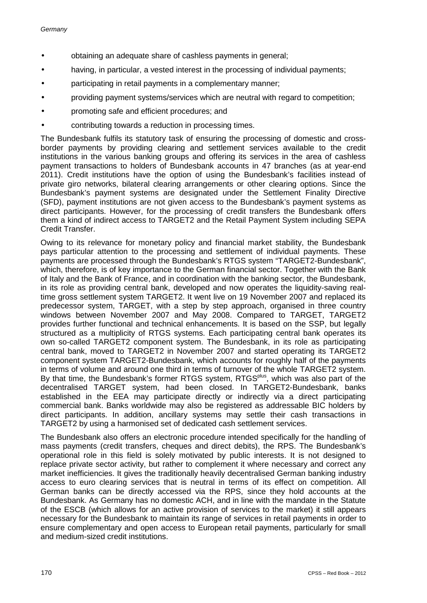- obtaining an adequate share of cashless payments in general;
- having, in particular, a vested interest in the processing of individual payments;
- participating in retail payments in a complementary manner;
- providing payment systems/services which are neutral with regard to competition;
- promoting safe and efficient procedures; and
- contributing towards a reduction in processing times.

The Bundesbank fulfils its statutory task of ensuring the processing of domestic and crossborder payments by providing clearing and settlement services available to the credit institutions in the various banking groups and offering its services in the area of cashless payment transactions to holders of Bundesbank accounts in 47 branches (as at year-end 2011). Credit institutions have the option of using the Bundesbank's facilities instead of private giro networks, bilateral clearing arrangements or other clearing options. Since the Bundesbank's payment systems are designated under the Settlement Finality Directive (SFD), payment institutions are not given access to the Bundesbank's payment systems as direct participants. However, for the processing of credit transfers the Bundesbank offers them a kind of indirect access to TARGET2 and the Retail Payment System including SEPA Credit Transfer.

Owing to its relevance for monetary policy and financial market stability, the Bundesbank pays particular attention to the processing and settlement of individual payments. These payments are processed through the Bundesbank's RTGS system "TARGET2-Bundesbank", which, therefore, is of key importance to the German financial sector. Together with the Bank of Italy and the Bank of France, and in coordination with the banking sector, the Bundesbank, in its role as providing central bank, developed and now operates the liquidity-saving realtime gross settlement system TARGET2. It went live on 19 November 2007 and replaced its predecessor system, TARGET, with a step by step approach, organised in three country windows between November 2007 and May 2008. Compared to TARGET, TARGET2 provides further functional and technical enhancements. It is based on the SSP, but legally structured as a multiplicity of RTGS systems. Each participating central bank operates its own so-called TARGET2 component system. The Bundesbank, in its role as participating central bank, moved to TARGET2 in November 2007 and started operating its TARGET2 component system TARGET2-Bundesbank, which accounts for roughly half of the payments in terms of volume and around one third in terms of turnover of the whole TARGET2 system. By that time, the Bundesbank's former RTGS system, RTGS<sup>plus</sup>, which was also part of the decentralised TARGET system, had been closed. In TARGET2-Bundesbank, banks established in the EEA may participate directly or indirectly via a direct participating commercial bank. Banks worldwide may also be registered as addressable BIC holders by direct participants. In addition, ancillary systems may settle their cash transactions in TARGET2 by using a harmonised set of dedicated cash settlement services.

The Bundesbank also offers an electronic procedure intended specifically for the handling of mass payments (credit transfers, cheques and direct debits), the RPS. The Bundesbank's operational role in this field is solely motivated by public interests. It is not designed to replace private sector activity, but rather to complement it where necessary and correct any market inefficiencies. It gives the traditionally heavily decentralised German banking industry access to euro clearing services that is neutral in terms of its effect on competition. All German banks can be directly accessed via the RPS, since they hold accounts at the Bundesbank. As Germany has no domestic ACH, and in line with the mandate in the Statute of the ESCB (which allows for an active provision of services to the market) it still appears necessary for the Bundesbank to maintain its range of services in retail payments in order to ensure complementary and open access to European retail payments, particularly for small and medium-sized credit institutions.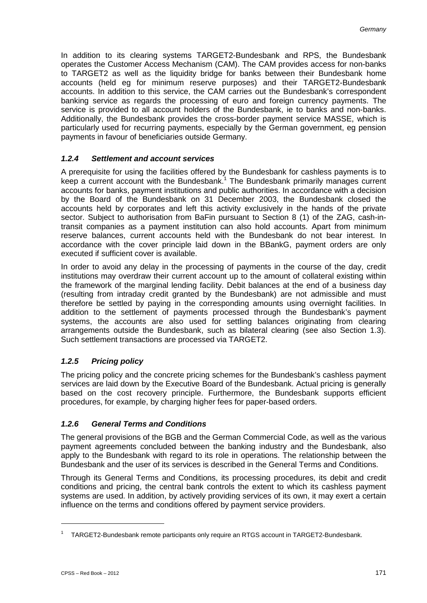In addition to its clearing systems TARGET2-Bundesbank and RPS, the Bundesbank operates the Customer Access Mechanism (CAM). The CAM provides access for non-banks to TARGET2 as well as the liquidity bridge for banks between their Bundesbank home accounts (held eg for minimum reserve purposes) and their TARGET2-Bundesbank accounts. In addition to this service, the CAM carries out the Bundesbank's correspondent banking service as regards the processing of euro and foreign currency payments. The service is provided to all account holders of the Bundesbank, ie to banks and non-banks. Additionally, the Bundesbank provides the cross-border payment service MASSE, which is particularly used for recurring payments, especially by the German government, eg pension payments in favour of beneficiaries outside Germany.

## *1.2.4 Settlement and account services*

A prerequisite for using the facilities offered by the Bundesbank for cashless payments is to keep a current account with the Bundesbank.<sup>1</sup> The Bundesbank primarily manages current accounts for banks, payment institutions and public authorities. In accordance with a decision by the Board of the Bundesbank on 31 December 2003, the Bundesbank closed the accounts held by corporates and left this activity exclusively in the hands of the private sector. Subject to authorisation from BaFin pursuant to Section 8 (1) of the ZAG, cash-intransit companies as a payment institution can also hold accounts. Apart from minimum reserve balances, current accounts held with the Bundesbank do not bear interest. In accordance with the cover principle laid down in the BBankG, payment orders are only executed if sufficient cover is available.

In order to avoid any delay in the processing of payments in the course of the day, credit institutions may overdraw their current account up to the amount of collateral existing within the framework of the marginal lending facility. Debit balances at the end of a business day (resulting from intraday credit granted by the Bundesbank) are not admissible and must therefore be settled by paying in the corresponding amounts using overnight facilities. In addition to the settlement of payments processed through the Bundesbank's payment systems, the accounts are also used for settling balances originating from clearing arrangements outside the Bundesbank, such as bilateral clearing (see also Section 1.3). Such settlement transactions are processed via TARGET2.

# *1.2.5 Pricing policy*

The pricing policy and the concrete pricing schemes for the Bundesbank's cashless payment services are laid down by the Executive Board of the Bundesbank. Actual pricing is generally based on the cost recovery principle. Furthermore, the Bundesbank supports efficient procedures, for example, by charging higher fees for paper-based orders.

#### *1.2.6 General Terms and Conditions*

The general provisions of the BGB and the German Commercial Code, as well as the various payment agreements concluded between the banking industry and the Bundesbank, also apply to the Bundesbank with regard to its role in operations. The relationship between the Bundesbank and the user of its services is described in the General Terms and Conditions.

Through its General Terms and Conditions, its processing procedures, its debit and credit conditions and pricing, the central bank controls the extent to which its cashless payment systems are used. In addition, by actively providing services of its own, it may exert a certain influence on the terms and conditions offered by payment service providers.

<sup>&</sup>lt;sup>1</sup> TARGET2-Bundesbank remote participants only require an RTGS account in TARGET2-Bundesbank.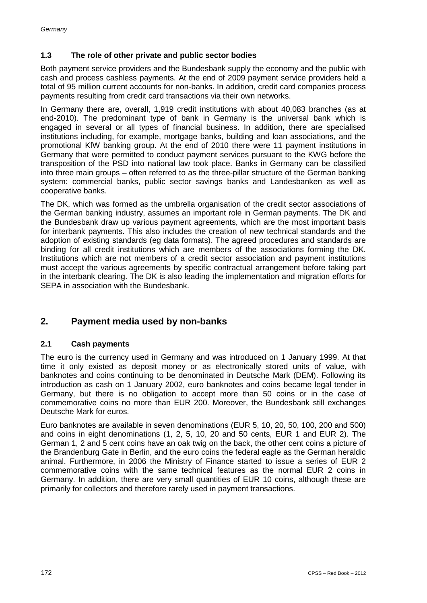# **1.3 The role of other private and public sector bodies**

Both payment service providers and the Bundesbank supply the economy and the public with cash and process cashless payments. At the end of 2009 payment service providers held a total of 95 million current accounts for non-banks. In addition, credit card companies process payments resulting from credit card transactions via their own networks.

In Germany there are, overall, 1,919 credit institutions with about 40,083 branches (as at end-2010). The predominant type of bank in Germany is the universal bank which is engaged in several or all types of financial business. In addition, there are specialised institutions including, for example, mortgage banks, building and loan associations, and the promotional KfW banking group. At the end of 2010 there were 11 payment institutions in Germany that were permitted to conduct payment services pursuant to the KWG before the transposition of the PSD into national law took place. Banks in Germany can be classified into three main groups – often referred to as the three-pillar structure of the German banking system: commercial banks, public sector savings banks and Landesbanken as well as cooperative banks.

The DK, which was formed as the umbrella organisation of the credit sector associations of the German banking industry, assumes an important role in German payments. The DK and the Bundesbank draw up various payment agreements, which are the most important basis for interbank payments. This also includes the creation of new technical standards and the adoption of existing standards (eg data formats). The agreed procedures and standards are binding for all credit institutions which are members of the associations forming the DK. Institutions which are not members of a credit sector association and payment institutions must accept the various agreements by specific contractual arrangement before taking part in the interbank clearing. The DK is also leading the implementation and migration efforts for SEPA in association with the Bundesbank.

# **2. Payment media used by non-banks**

# **2.1 Cash payments**

The euro is the currency used in Germany and was introduced on 1 January 1999. At that time it only existed as deposit money or as electronically stored units of value, with banknotes and coins continuing to be denominated in Deutsche Mark (DEM). Following its introduction as cash on 1 January 2002, euro banknotes and coins became legal tender in Germany, but there is no obligation to accept more than 50 coins or in the case of commemorative coins no more than EUR 200. Moreover, the Bundesbank still exchanges Deutsche Mark for euros.

Euro banknotes are available in seven denominations (EUR 5, 10, 20, 50, 100, 200 and 500) and coins in eight denominations (1, 2, 5, 10, 20 and 50 cents, EUR 1 and EUR 2). The German 1, 2 and 5 cent coins have an oak twig on the back, the other cent coins a picture of the Brandenburg Gate in Berlin, and the euro coins the federal eagle as the German heraldic animal. Furthermore, in 2006 the Ministry of Finance started to issue a series of EUR 2 commemorative coins with the same technical features as the normal EUR 2 coins in Germany. In addition, there are very small quantities of EUR 10 coins, although these are primarily for collectors and therefore rarely used in payment transactions.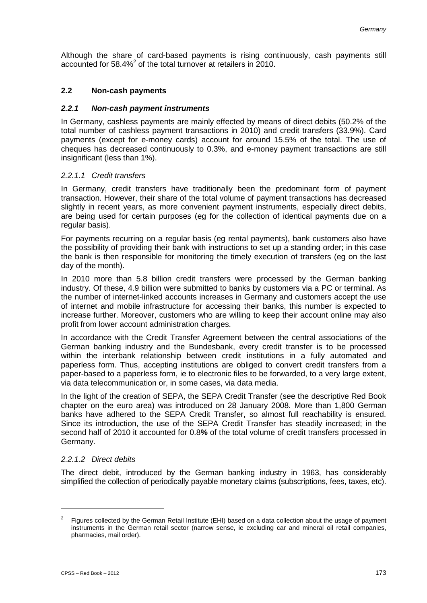Although the share of card-based payments is rising continuously, cash payments still accounted for 58.4%<sup>2</sup> of the total turnover at retailers in 2010.

#### **2.2 Non-cash payments**

#### *2.2.1 Non-cash payment instruments*

In Germany, cashless payments are mainly effected by means of direct debits (50.2% of the total number of cashless payment transactions in 2010) and credit transfers (33.9%). Card payments (except for e-money cards) account for around 15.5% of the total. The use of cheques has decreased continuously to 0.3%, and e-money payment transactions are still insignificant (less than 1%).

#### *2.2.1.1 Credit transfers*

In Germany, credit transfers have traditionally been the predominant form of payment transaction. However, their share of the total volume of payment transactions has decreased slightly in recent years, as more convenient payment instruments, especially direct debits, are being used for certain purposes (eg for the collection of identical payments due on a regular basis).

For payments recurring on a regular basis (eg rental payments), bank customers also have the possibility of providing their bank with instructions to set up a standing order; in this case the bank is then responsible for monitoring the timely execution of transfers (eg on the last day of the month).

In 2010 more than 5.8 billion credit transfers were processed by the German banking industry. Of these, 4.9 billion were submitted to banks by customers via a PC or terminal. As the number of internet-linked accounts increases in Germany and customers accept the use of internet and mobile infrastructure for accessing their banks, this number is expected to increase further. Moreover, customers who are willing to keep their account online may also profit from lower account administration charges.

In accordance with the Credit Transfer Agreement between the central associations of the German banking industry and the Bundesbank, every credit transfer is to be processed within the interbank relationship between credit institutions in a fully automated and paperless form. Thus, accepting institutions are obliged to convert credit transfers from a paper-based to a paperless form, ie to electronic files to be forwarded, to a very large extent, via data telecommunication or, in some cases, via data media.

In the light of the creation of SEPA, the SEPA Credit Transfer (see the descriptive Red Book chapter on the euro area) was introduced on 28 January 2008. More than 1,800 German banks have adhered to the SEPA Credit Transfer, so almost full reachability is ensured. Since its introduction, the use of the SEPA Credit Transfer has steadily increased; in the second half of 2010 it accounted for 0.8**%** of the total volume of credit transfers processed in Germany.

#### *2.2.1.2 Direct debits*

The direct debit, introduced by the German banking industry in 1963, has considerably simplified the collection of periodically payable monetary claims (subscriptions, fees, taxes, etc).

 $2^2$  Figures collected by the German Retail Institute (EHI) based on a data collection about the usage of payment instruments in the German retail sector (narrow sense, ie excluding car and mineral oil retail companies, pharmacies, mail order).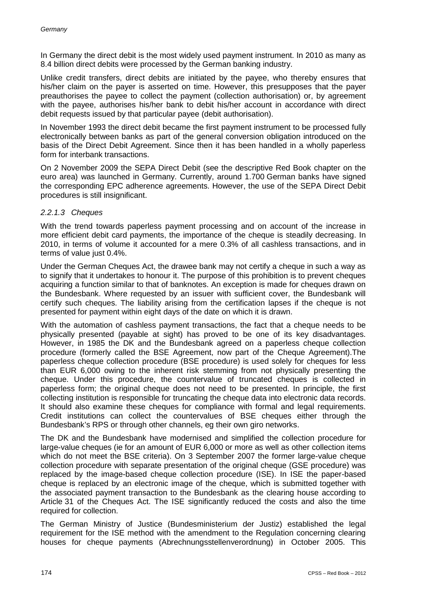In Germany the direct debit is the most widely used payment instrument. In 2010 as many as 8.4 billion direct debits were processed by the German banking industry.

Unlike credit transfers, direct debits are initiated by the payee, who thereby ensures that his/her claim on the payer is asserted on time. However, this presupposes that the payer preauthorises the payee to collect the payment (collection authorisation) or, by agreement with the payee, authorises his/her bank to debit his/her account in accordance with direct debit requests issued by that particular payee (debit authorisation).

In November 1993 the direct debit became the first payment instrument to be processed fully electronically between banks as part of the general conversion obligation introduced on the basis of the Direct Debit Agreement. Since then it has been handled in a wholly paperless form for interbank transactions.

On 2 November 2009 the SEPA Direct Debit (see the descriptive Red Book chapter on the euro area) was launched in Germany. Currently, around 1.700 German banks have signed the corresponding EPC adherence agreements. However, the use of the SEPA Direct Debit procedures is still insignificant.

#### *2.2.1.3 Cheques*

With the trend towards paperless payment processing and on account of the increase in more efficient debit card payments, the importance of the cheque is steadily decreasing. In 2010, in terms of volume it accounted for a mere 0.3% of all cashless transactions, and in terms of value just 0.4%.

Under the German Cheques Act, the drawee bank may not certify a cheque in such a way as to signify that it undertakes to honour it. The purpose of this prohibition is to prevent cheques acquiring a function similar to that of banknotes. An exception is made for cheques drawn on the Bundesbank. Where requested by an issuer with sufficient cover, the Bundesbank will certify such cheques. The liability arising from the certification lapses if the cheque is not presented for payment within eight days of the date on which it is drawn.

With the automation of cashless payment transactions, the fact that a cheque needs to be physically presented (payable at sight) has proved to be one of its key disadvantages. However, in 1985 the DK and the Bundesbank agreed on a paperless cheque collection procedure (formerly called the BSE Agreement, now part of the Cheque Agreement).The paperless cheque collection procedure (BSE procedure) is used solely for cheques for less than EUR 6,000 owing to the inherent risk stemming from not physically presenting the cheque. Under this procedure, the countervalue of truncated cheques is collected in paperless form; the original cheque does not need to be presented. In principle, the first collecting institution is responsible for truncating the cheque data into electronic data records. It should also examine these cheques for compliance with formal and legal requirements. Credit institutions can collect the countervalues of BSE cheques either through the Bundesbank's RPS or through other channels, eg their own giro networks.

The DK and the Bundesbank have modernised and simplified the collection procedure for large-value cheques (ie for an amount of EUR 6,000 or more as well as other collection items which do not meet the BSE criteria). On 3 September 2007 the former large-value cheque collection procedure with separate presentation of the original cheque (GSE procedure) was replaced by the image-based cheque collection procedure (ISE). In ISE the paper-based cheque is replaced by an electronic image of the cheque, which is submitted together with the associated payment transaction to the Bundesbank as the clearing house according to Article 31 of the Cheques Act. The ISE significantly reduced the costs and also the time required for collection.

The German Ministry of Justice (Bundesministerium der Justiz) established the legal requirement for the ISE method with the amendment to the Regulation concerning clearing houses for cheque payments (Abrechnungsstellenverordnung) in October 2005. This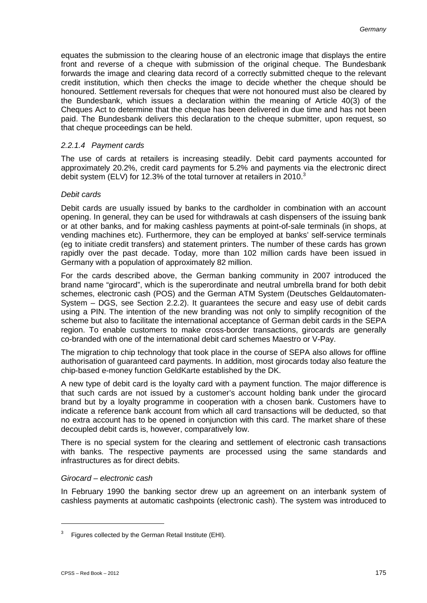equates the submission to the clearing house of an electronic image that displays the entire front and reverse of a cheque with submission of the original cheque. The Bundesbank forwards the image and clearing data record of a correctly submitted cheque to the relevant credit institution, which then checks the image to decide whether the cheque should be honoured. Settlement reversals for cheques that were not honoured must also be cleared by the Bundesbank, which issues a declaration within the meaning of Article 40(3) of the Cheques Act to determine that the cheque has been delivered in due time and has not been paid. The Bundesbank delivers this declaration to the cheque submitter, upon request, so that cheque proceedings can be held.

#### *2.2.1.4 Payment cards*

The use of cards at retailers is increasing steadily. Debit card payments accounted for approximately 20.2%, credit card payments for 5.2% and payments via the electronic direct debit system (ELV) for 12.3% of the total turnover at retailers in 2010. $^3$ 

#### *Debit cards*

Debit cards are usually issued by banks to the cardholder in combination with an account opening. In general, they can be used for withdrawals at cash dispensers of the issuing bank or at other banks, and for making cashless payments at point-of-sale terminals (in shops, at vending machines etc). Furthermore, they can be employed at banks' self-service terminals (eg to initiate credit transfers) and statement printers. The number of these cards has grown rapidly over the past decade. Today, more than 102 million cards have been issued in Germany with a population of approximately 82 million.

For the cards described above, the German banking community in 2007 introduced the brand name "girocard", which is the superordinate and neutral umbrella brand for both debit schemes, electronic cash (POS) and the German ATM System (Deutsches Geldautomaten-System – DGS, see Section 2.2.2). It guarantees the secure and easy use of debit cards using a PIN. The intention of the new branding was not only to simplify recognition of the scheme but also to facilitate the international acceptance of German debit cards in the SEPA region. To enable customers to make cross-border transactions, girocards are generally co-branded with one of the international debit card schemes Maestro or V-Pay.

The migration to chip technology that took place in the course of SEPA also allows for offline authorisation of guaranteed card payments. In addition, most girocards today also feature the chip-based e-money function GeldKarte established by the DK.

A new type of debit card is the loyalty card with a payment function. The major difference is that such cards are not issued by a customer's account holding bank under the girocard brand but by a loyalty programme in cooperation with a chosen bank. Customers have to indicate a reference bank account from which all card transactions will be deducted, so that no extra account has to be opened in conjunction with this card. The market share of these decoupled debit cards is, however, comparatively low.

There is no special system for the clearing and settlement of electronic cash transactions with banks. The respective payments are processed using the same standards and infrastructures as for direct debits.

#### *Girocard – electronic cash*

In February 1990 the banking sector drew up an agreement on an interbank system of cashless payments at automatic cashpoints (electronic cash). The system was introduced to

<sup>&</sup>lt;sup>3</sup> Figures collected by the German Retail Institute (EHI).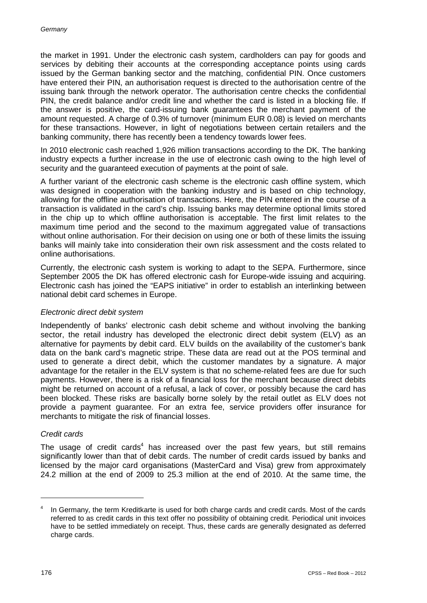the market in 1991. Under the electronic cash system, cardholders can pay for goods and services by debiting their accounts at the corresponding acceptance points using cards issued by the German banking sector and the matching, confidential PIN. Once customers have entered their PIN, an authorisation request is directed to the authorisation centre of the issuing bank through the network operator. The authorisation centre checks the confidential PIN, the credit balance and/or credit line and whether the card is listed in a blocking file. If the answer is positive, the card-issuing bank guarantees the merchant payment of the amount requested. A charge of 0.3% of turnover (minimum EUR 0.08) is levied on merchants for these transactions. However, in light of negotiations between certain retailers and the banking community, there has recently been a tendency towards lower fees.

In 2010 electronic cash reached 1,926 million transactions according to the DK. The banking industry expects a further increase in the use of electronic cash owing to the high level of security and the guaranteed execution of payments at the point of sale.

A further variant of the electronic cash scheme is the electronic cash offline system, which was designed in cooperation with the banking industry and is based on chip technology, allowing for the offline authorisation of transactions. Here, the PIN entered in the course of a transaction is validated in the card's chip. Issuing banks may determine optional limits stored in the chip up to which offline authorisation is acceptable. The first limit relates to the maximum time period and the second to the maximum aggregated value of transactions without online authorisation. For their decision on using one or both of these limits the issuing banks will mainly take into consideration their own risk assessment and the costs related to online authorisations.

Currently, the electronic cash system is working to adapt to the SEPA. Furthermore, since September 2005 the DK has offered electronic cash for Europe-wide issuing and acquiring. Electronic cash has joined the "EAPS initiative" in order to establish an interlinking between national debit card schemes in Europe.

#### *Electronic direct debit system*

Independently of banks' electronic cash debit scheme and without involving the banking sector, the retail industry has developed the electronic direct debit system (ELV) as an alternative for payments by debit card. ELV builds on the availability of the customer's bank data on the bank card's magnetic stripe. These data are read out at the POS terminal and used to generate a direct debit, which the customer mandates by a signature. A major advantage for the retailer in the ELV system is that no scheme-related fees are due for such payments. However, there is a risk of a financial loss for the merchant because direct debits might be returned on account of a refusal, a lack of cover, or possibly because the card has been blocked. These risks are basically borne solely by the retail outlet as ELV does not provide a payment guarantee. For an extra fee, service providers offer insurance for merchants to mitigate the risk of financial losses.

#### *Credit cards*

The usage of credit cards<sup>4</sup> has increased over the past few years, but still remains significantly lower than that of debit cards. The number of credit cards issued by banks and licensed by the major card organisations (MasterCard and Visa) grew from approximately 24.2 million at the end of 2009 to 25.3 million at the end of 2010. At the same time, the

In Germany, the term Kreditkarte is used for both charge cards and credit cards. Most of the cards referred to as credit cards in this text offer no possibility of obtaining credit. Periodical unit invoices have to be settled immediately on receipt. Thus, these cards are generally designated as deferred charge cards.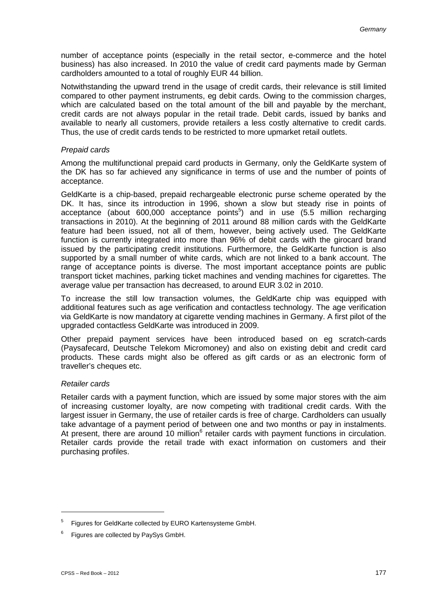number of acceptance points (especially in the retail sector, e-commerce and the hotel business) has also increased. In 2010 the value of credit card payments made by German cardholders amounted to a total of roughly EUR 44 billion.

Notwithstanding the upward trend in the usage of credit cards, their relevance is still limited compared to other payment instruments, eg debit cards. Owing to the commission charges, which are calculated based on the total amount of the bill and payable by the merchant, credit cards are not always popular in the retail trade. Debit cards, issued by banks and available to nearly all customers, provide retailers a less costly alternative to credit cards. Thus, the use of credit cards tends to be restricted to more upmarket retail outlets.

#### *Prepaid cards*

Among the multifunctional prepaid card products in Germany, only the GeldKarte system of the DK has so far achieved any significance in terms of use and the number of points of acceptance.

GeldKarte is a chip-based, prepaid rechargeable electronic purse scheme operated by the DK. It has, since its introduction in 1996, shown a slow but steady rise in points of acceptance (about 600,000 acceptance points $5$ ) and in use (5.5 million recharging transactions in 2010). At the beginning of 2011 around 88 million cards with the GeldKarte feature had been issued, not all of them, however, being actively used. The GeldKarte function is currently integrated into more than 96% of debit cards with the girocard brand issued by the participating credit institutions. Furthermore, the GeldKarte function is also supported by a small number of white cards, which are not linked to a bank account. The range of acceptance points is diverse. The most important acceptance points are public transport ticket machines, parking ticket machines and vending machines for cigarettes. The average value per transaction has decreased, to around EUR 3.02 in 2010.

To increase the still low transaction volumes, the GeldKarte chip was equipped with additional features such as age verification and contactless technology. The age verification via GeldKarte is now mandatory at cigarette vending machines in Germany. A first pilot of the upgraded contactless GeldKarte was introduced in 2009.

Other prepaid payment services have been introduced based on eg scratch-cards (Paysafecard, Deutsche Telekom Micromoney) and also on existing debit and credit card products. These cards might also be offered as gift cards or as an electronic form of traveller's cheques etc.

#### *Retailer cards*

Retailer cards with a payment function, which are issued by some major stores with the aim of increasing customer loyalty, are now competing with traditional credit cards. With the largest issuer in Germany, the use of retailer cards is free of charge. Cardholders can usually take advantage of a payment period of between one and two months or pay in instalments. At present, there are around 10 million $<sup>6</sup>$  retailer cards with payment functions in circulation.</sup> Retailer cards provide the retail trade with exact information on customers and their purchasing profiles.

<u>.</u>

<sup>&</sup>lt;sup>5</sup> Figures for GeldKarte collected by EURO Kartensysteme GmbH.

 $6$  Figures are collected by PaySys GmbH.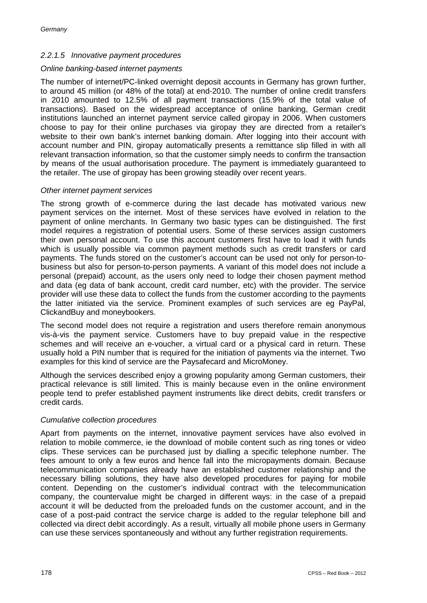#### *2.2.1.5 Innovative payment procedures*

#### *Online banking-based internet payments*

The number of internet/PC-linked overnight deposit accounts in Germany has grown further, to around 45 million (or 48% of the total) at end-2010. The number of online credit transfers in 2010 amounted to 12.5% of all payment transactions (15.9% of the total value of transactions). Based on the widespread acceptance of online banking, German credit institutions launched an internet payment service called giropay in 2006. When customers choose to pay for their online purchases via giropay they are directed from a retailer's website to their own bank's internet banking domain. After logging into their account with account number and PIN, giropay automatically presents a remittance slip filled in with all relevant transaction information, so that the customer simply needs to confirm the transaction by means of the usual authorisation procedure. The payment is immediately guaranteed to the retailer. The use of giropay has been growing steadily over recent years.

#### *Other internet payment services*

The strong growth of e-commerce during the last decade has motivated various new payment services on the internet. Most of these services have evolved in relation to the payment of online merchants. In Germany two basic types can be distinguished. The first model requires a registration of potential users. Some of these services assign customers their own personal account. To use this account customers first have to load it with funds which is usually possible via common payment methods such as credit transfers or card payments. The funds stored on the customer's account can be used not only for person-tobusiness but also for person-to-person payments. A variant of this model does not include a personal (prepaid) account, as the users only need to lodge their chosen payment method and data (eg data of bank account, credit card number, etc) with the provider. The service provider will use these data to collect the funds from the customer according to the payments the latter initiated via the service. Prominent examples of such services are eg PayPal, ClickandBuy and moneybookers.

The second model does not require a registration and users therefore remain anonymous vis-à-vis the payment service. Customers have to buy prepaid value in the respective schemes and will receive an e-voucher, a virtual card or a physical card in return. These usually hold a PIN number that is required for the initiation of payments via the internet. Two examples for this kind of service are the Paysafecard and MicroMoney.

Although the services described enjoy a growing popularity among German customers, their practical relevance is still limited. This is mainly because even in the online environment people tend to prefer established payment instruments like direct debits, credit transfers or credit cards.

#### *Cumulative collection procedures*

Apart from payments on the internet, innovative payment services have also evolved in relation to mobile commerce, ie the download of mobile content such as ring tones or video clips. These services can be purchased just by dialling a specific telephone number. The fees amount to only a few euros and hence fall into the micropayments domain. Because telecommunication companies already have an established customer relationship and the necessary billing solutions, they have also developed procedures for paying for mobile content. Depending on the customer's individual contract with the telecommunication company, the countervalue might be charged in different ways: in the case of a prepaid account it will be deducted from the preloaded funds on the customer account, and in the case of a post-paid contract the service charge is added to the regular telephone bill and collected via direct debit accordingly. As a result, virtually all mobile phone users in Germany can use these services spontaneously and without any further registration requirements.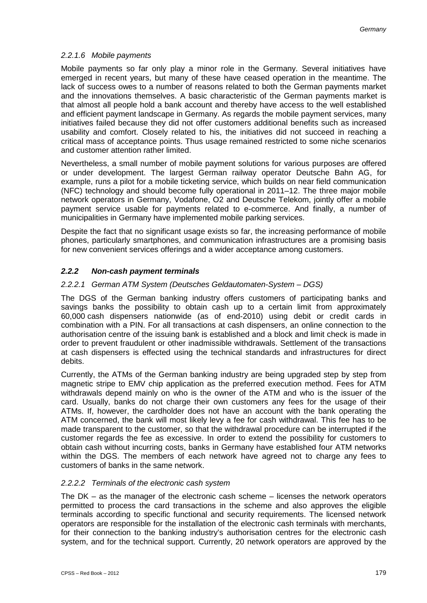## *2.2.1.6 Mobile payments*

Mobile payments so far only play a minor role in the Germany. Several initiatives have emerged in recent years, but many of these have ceased operation in the meantime. The lack of success owes to a number of reasons related to both the German payments market and the innovations themselves. A basic characteristic of the German payments market is that almost all people hold a bank account and thereby have access to the well established and efficient payment landscape in Germany. As regards the mobile payment services, many initiatives failed because they did not offer customers additional benefits such as increased usability and comfort. Closely related to his, the initiatives did not succeed in reaching a critical mass of acceptance points. Thus usage remained restricted to some niche scenarios and customer attention rather limited.

Nevertheless, a small number of mobile payment solutions for various purposes are offered or under development. The largest German railway operator Deutsche Bahn AG, for example, runs a pilot for a mobile ticketing service, which builds on near field communication (NFC) technology and should become fully operational in 2011–12. The three major mobile network operators in Germany, Vodafone, O2 and Deutsche Telekom, jointly offer a mobile payment service usable for payments related to e-commerce. And finally, a number of municipalities in Germany have implemented mobile parking services.

Despite the fact that no significant usage exists so far, the increasing performance of mobile phones, particularly smartphones, and communication infrastructures are a promising basis for new convenient services offerings and a wider acceptance among customers.

# *2.2.2 Non-cash payment terminals*

# *2.2.2.1 German ATM System (Deutsches Geldautomaten-System – DGS)*

The DGS of the German banking industry offers customers of participating banks and savings banks the possibility to obtain cash up to a certain limit from approximately 60,000 cash dispensers nationwide (as of end-2010) using debit or credit cards in combination with a PIN. For all transactions at cash dispensers, an online connection to the authorisation centre of the issuing bank is established and a block and limit check is made in order to prevent fraudulent or other inadmissible withdrawals. Settlement of the transactions at cash dispensers is effected using the technical standards and infrastructures for direct debits.

Currently, the ATMs of the German banking industry are being upgraded step by step from magnetic stripe to EMV chip application as the preferred execution method. Fees for ATM withdrawals depend mainly on who is the owner of the ATM and who is the issuer of the card. Usually, banks do not charge their own customers any fees for the usage of their ATMs. If, however, the cardholder does not have an account with the bank operating the ATM concerned, the bank will most likely levy a fee for cash withdrawal. This fee has to be made transparent to the customer, so that the withdrawal procedure can be interrupted if the customer regards the fee as excessive. In order to extend the possibility for customers to obtain cash without incurring costs, banks in Germany have established four ATM networks within the DGS. The members of each network have agreed not to charge any fees to customers of banks in the same network.

#### *2.2.2.2 Terminals of the electronic cash system*

The DK – as the manager of the electronic cash scheme – licenses the network operators permitted to process the card transactions in the scheme and also approves the eligible terminals according to specific functional and security requirements. The licensed network operators are responsible for the installation of the electronic cash terminals with merchants, for their connection to the banking industry's authorisation centres for the electronic cash system, and for the technical support. Currently, 20 network operators are approved by the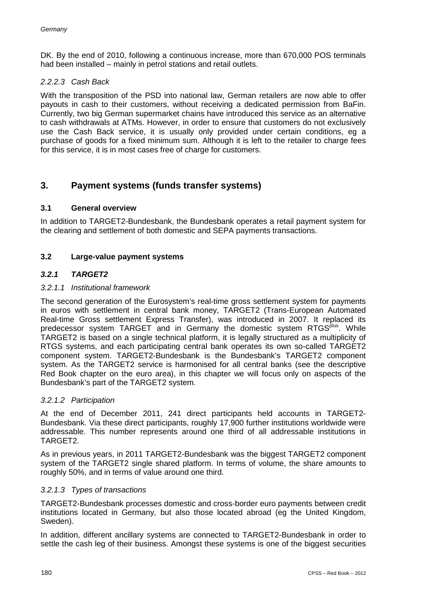DK. By the end of 2010, following a continuous increase, more than 670,000 POS terminals had been installed – mainly in petrol stations and retail outlets.

#### *2.2.2.3 Cash Back*

With the transposition of the PSD into national law, German retailers are now able to offer payouts in cash to their customers, without receiving a dedicated permission from BaFin. Currently, two big German supermarket chains have introduced this service as an alternative to cash withdrawals at ATMs. However, in order to ensure that customers do not exclusively use the Cash Back service, it is usually only provided under certain conditions, eg a purchase of goods for a fixed minimum sum. Although it is left to the retailer to charge fees for this service, it is in most cases free of charge for customers.

# **3. Payment systems (funds transfer systems)**

#### **3.1 General overview**

In addition to TARGET2-Bundesbank, the Bundesbank operates a retail payment system for the clearing and settlement of both domestic and SEPA payments transactions.

#### **3.2 Large-value payment systems**

#### *3.2.1 TARGET2*

#### *3.2.1.1 Institutional framework*

The second generation of the Eurosystem's real-time gross settlement system for payments in euros with settlement in central bank money, TARGET2 (Trans-European Automated Real-time Gross settlement Express Transfer), was introduced in 2007. It replaced its predecessor system TARGET and in Germany the domestic system RTGS<sup>plus</sup>. While TARGET2 is based on a single technical platform, it is legally structured as a multiplicity of RTGS systems, and each participating central bank operates its own so-called TARGET2 component system. TARGET2-Bundesbank is the Bundesbank's TARGET2 component system. As the TARGET2 service is harmonised for all central banks (see the descriptive Red Book chapter on the euro area), in this chapter we will focus only on aspects of the Bundesbank's part of the TARGET2 system.

#### *3.2.1.2 Participation*

At the end of December 2011, 241 direct participants held accounts in TARGET2- Bundesbank. Via these direct participants, roughly 17,900 further institutions worldwide were addressable. This number represents around one third of all addressable institutions in TARGET2.

As in previous years, in 2011 TARGET2-Bundesbank was the biggest TARGET2 component system of the TARGET2 single shared platform. In terms of volume, the share amounts to roughly 50%, and in terms of value around one third.

#### *3.2.1.3 Types of transactions*

TARGET2-Bundesbank processes domestic and cross-border euro payments between credit institutions located in Germany, but also those located abroad (eg the United Kingdom, Sweden).

In addition, different ancillary systems are connected to TARGET2-Bundesbank in order to settle the cash leg of their business. Amongst these systems is one of the biggest securities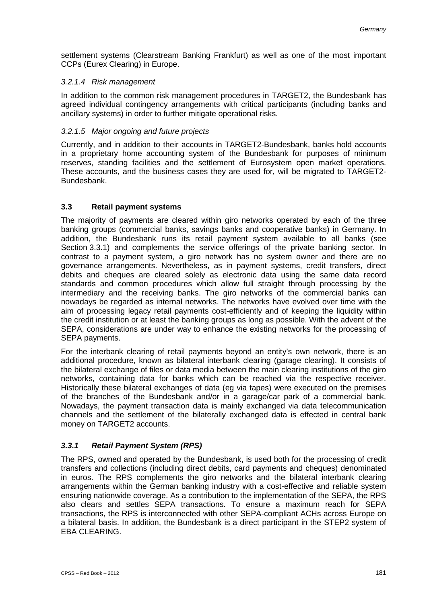settlement systems (Clearstream Banking Frankfurt) as well as one of the most important CCPs (Eurex Clearing) in Europe.

#### *3.2.1.4 Risk management*

In addition to the common risk management procedures in TARGET2, the Bundesbank has agreed individual contingency arrangements with critical participants (including banks and ancillary systems) in order to further mitigate operational risks.

#### *3.2.1.5 Major ongoing and future projects*

Currently, and in addition to their accounts in TARGET2-Bundesbank, banks hold accounts in a proprietary home accounting system of the Bundesbank for purposes of minimum reserves, standing facilities and the settlement of Eurosystem open market operations. These accounts, and the business cases they are used for, will be migrated to TARGET2- Bundesbank.

## **3.3 Retail payment systems**

The majority of payments are cleared within giro networks operated by each of the three banking groups (commercial banks, savings banks and cooperative banks) in Germany. In addition, the Bundesbank runs its retail payment system available to all banks (see Section 3.3.1) and complements the service offerings of the private banking sector. In contrast to a payment system, a giro network has no system owner and there are no governance arrangements. Nevertheless, as in payment systems, credit transfers, direct debits and cheques are cleared solely as electronic data using the same data record standards and common procedures which allow full straight through processing by the intermediary and the receiving banks. The giro networks of the commercial banks can nowadays be regarded as internal networks. The networks have evolved over time with the aim of processing legacy retail payments cost-efficiently and of keeping the liquidity within the credit institution or at least the banking groups as long as possible. With the advent of the SEPA, considerations are under way to enhance the existing networks for the processing of SEPA payments.

For the interbank clearing of retail payments beyond an entity's own network, there is an additional procedure, known as bilateral interbank clearing (garage clearing). It consists of the bilateral exchange of files or data media between the main clearing institutions of the giro networks, containing data for banks which can be reached via the respective receiver. Historically these bilateral exchanges of data (eg via tapes) were executed on the premises of the branches of the Bundesbank and/or in a garage/car park of a commercial bank. Nowadays, the payment transaction data is mainly exchanged via data telecommunication channels and the settlement of the bilaterally exchanged data is effected in central bank money on TARGET2 accounts.

# *3.3.1 Retail Payment System (RPS)*

The RPS, owned and operated by the Bundesbank, is used both for the processing of credit transfers and collections (including direct debits, card payments and cheques) denominated in euros. The RPS complements the giro networks and the bilateral interbank clearing arrangements within the German banking industry with a cost-effective and reliable system ensuring nationwide coverage. As a contribution to the implementation of the SEPA, the RPS also clears and settles SEPA transactions. To ensure a maximum reach for SEPA transactions, the RPS is interconnected with other SEPA-compliant ACHs across Europe on a bilateral basis. In addition, the Bundesbank is a direct participant in the STEP2 system of EBA CLEARING.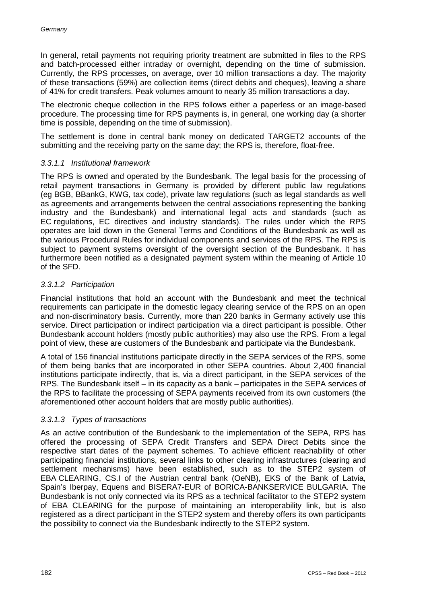In general, retail payments not requiring priority treatment are submitted in files to the RPS and batch-processed either intraday or overnight, depending on the time of submission. Currently, the RPS processes, on average, over 10 million transactions a day. The majority of these transactions (59%) are collection items (direct debits and cheques), leaving a share of 41% for credit transfers. Peak volumes amount to nearly 35 million transactions a day.

The electronic cheque collection in the RPS follows either a paperless or an image-based procedure. The processing time for RPS payments is, in general, one working day (a shorter time is possible, depending on the time of submission).

The settlement is done in central bank money on dedicated TARGET2 accounts of the submitting and the receiving party on the same day; the RPS is, therefore, float-free.

#### *3.3.1.1 Institutional framework*

The RPS is owned and operated by the Bundesbank. The legal basis for the processing of retail payment transactions in Germany is provided by different public law regulations (eg BGB, BBankG, KWG, tax code), private law regulations (such as legal standards as well as agreements and arrangements between the central associations representing the banking industry and the Bundesbank) and international legal acts and standards (such as EC regulations, EC directives and industry standards). The rules under which the RPS operates are laid down in the General Terms and Conditions of the Bundesbank as well as the various Procedural Rules for individual components and services of the RPS. The RPS is subject to payment systems oversight of the oversight section of the Bundesbank. It has furthermore been notified as a designated payment system within the meaning of Article 10 of the SFD.

#### *3.3.1.2 Participation*

Financial institutions that hold an account with the Bundesbank and meet the technical requirements can participate in the domestic legacy clearing service of the RPS on an open and non-discriminatory basis. Currently, more than 220 banks in Germany actively use this service. Direct participation or indirect participation via a direct participant is possible. Other Bundesbank account holders (mostly public authorities) may also use the RPS. From a legal point of view, these are customers of the Bundesbank and participate via the Bundesbank.

A total of 156 financial institutions participate directly in the SEPA services of the RPS, some of them being banks that are incorporated in other SEPA countries. About 2,400 financial institutions participate indirectly, that is, via a direct participant, in the SEPA services of the RPS. The Bundesbank itself – in its capacity as a bank – participates in the SEPA services of the RPS to facilitate the processing of SEPA payments received from its own customers (the aforementioned other account holders that are mostly public authorities).

#### *3.3.1.3 Types of transactions*

As an active contribution of the Bundesbank to the implementation of the SEPA, RPS has offered the processing of SEPA Credit Transfers and SEPA Direct Debits since the respective start dates of the payment schemes. To achieve efficient reachability of other participating financial institutions, several links to other clearing infrastructures (clearing and settlement mechanisms) have been established, such as to the STEP2 system of EBA CLEARING, CS.I of the Austrian central bank (OeNB), EKS of the Bank of Latvia, Spain's Iberpay, Equens and BISERA7-EUR of BORICA-BANKSERVICE BULGARIA. The Bundesbank is not only connected via its RPS as a technical facilitator to the STEP2 system of EBA CLEARING for the purpose of maintaining an interoperability link, but is also registered as a direct participant in the STEP2 system and thereby offers its own participants the possibility to connect via the Bundesbank indirectly to the STEP2 system.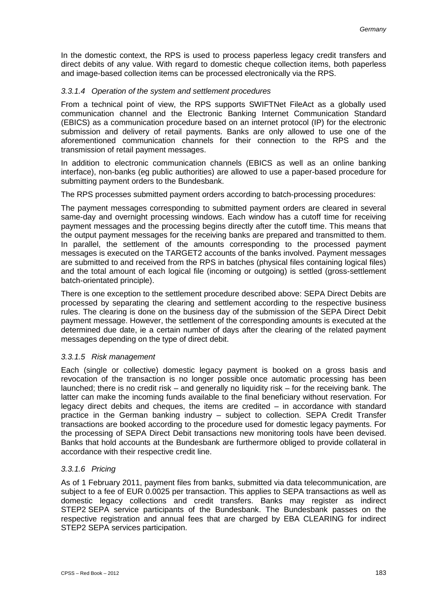In the domestic context, the RPS is used to process paperless legacy credit transfers and direct debits of any value. With regard to domestic cheque collection items, both paperless and image-based collection items can be processed electronically via the RPS.

#### *3.3.1.4 Operation of the system and settlement procedures*

From a technical point of view, the RPS supports SWIFTNet FileAct as a globally used communication channel and the Electronic Banking Internet Communication Standard (EBICS) as a communication procedure based on an internet protocol (IP) for the electronic submission and delivery of retail payments. Banks are only allowed to use one of the aforementioned communication channels for their connection to the RPS and the transmission of retail payment messages.

In addition to electronic communication channels (EBICS as well as an online banking interface), non-banks (eg public authorities) are allowed to use a paper-based procedure for submitting payment orders to the Bundesbank.

The RPS processes submitted payment orders according to batch-processing procedures:

The payment messages corresponding to submitted payment orders are cleared in several same-day and overnight processing windows. Each window has a cutoff time for receiving payment messages and the processing begins directly after the cutoff time. This means that the output payment messages for the receiving banks are prepared and transmitted to them. In parallel, the settlement of the amounts corresponding to the processed payment messages is executed on the TARGET2 accounts of the banks involved. Payment messages are submitted to and received from the RPS in batches (physical files containing logical files) and the total amount of each logical file (incoming or outgoing) is settled (gross-settlement batch-orientated principle).

There is one exception to the settlement procedure described above: SEPA Direct Debits are processed by separating the clearing and settlement according to the respective business rules. The clearing is done on the business day of the submission of the SEPA Direct Debit payment message. However, the settlement of the corresponding amounts is executed at the determined due date, ie a certain number of days after the clearing of the related payment messages depending on the type of direct debit.

#### *3.3.1.5 Risk management*

Each (single or collective) domestic legacy payment is booked on a gross basis and revocation of the transaction is no longer possible once automatic processing has been launched; there is no credit risk – and generally no liquidity risk – for the receiving bank. The latter can make the incoming funds available to the final beneficiary without reservation. For legacy direct debits and cheques, the items are credited – in accordance with standard practice in the German banking industry – subject to collection. SEPA Credit Transfer transactions are booked according to the procedure used for domestic legacy payments. For the processing of SEPA Direct Debit transactions new monitoring tools have been devised. Banks that hold accounts at the Bundesbank are furthermore obliged to provide collateral in accordance with their respective credit line.

#### *3.3.1.6 Pricing*

As of 1 February 2011, payment files from banks, submitted via data telecommunication, are subject to a fee of EUR 0.0025 per transaction. This applies to SEPA transactions as well as domestic legacy collections and credit transfers. Banks may register as indirect STEP2 SEPA service participants of the Bundesbank. The Bundesbank passes on the respective registration and annual fees that are charged by EBA CLEARING for indirect STEP2 SEPA services participation.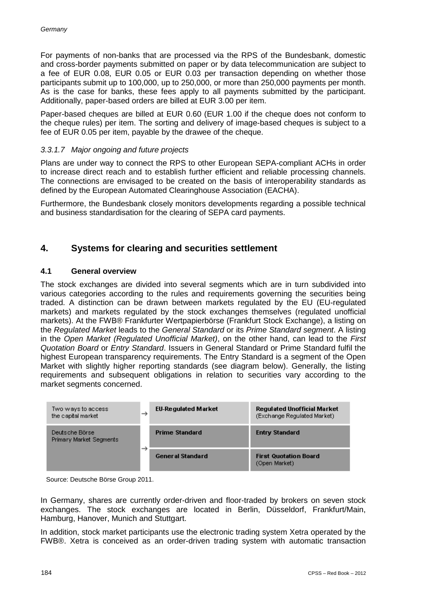For payments of non-banks that are processed via the RPS of the Bundesbank, domestic and cross-border payments submitted on paper or by data telecommunication are subject to a fee of EUR 0.08, EUR 0.05 or EUR 0.03 per transaction depending on whether those participants submit up to 100,000, up to 250,000, or more than 250,000 payments per month. As is the case for banks, these fees apply to all payments submitted by the participant. Additionally, paper-based orders are billed at EUR 3.00 per item.

Paper-based cheques are billed at EUR 0.60 (EUR 1.00 if the cheque does not conform to the cheque rules) per item. The sorting and delivery of image-based cheques is subject to a fee of EUR 0.05 per item, payable by the drawee of the cheque.

#### *3.3.1.7 Major ongoing and future projects*

Plans are under way to connect the RPS to other European SEPA-compliant ACHs in order to increase direct reach and to establish further efficient and reliable processing channels. The connections are envisaged to be created on the basis of interoperability standards as defined by the European Automated Clearinghouse Association (EACHA).

Furthermore, the Bundesbank closely monitors developments regarding a possible technical and business standardisation for the clearing of SEPA card payments.

# **4. Systems for clearing and securities settlement**

## **4.1 General overview**

The stock exchanges are divided into several segments which are in turn subdivided into various categories according to the rules and requirements governing the securities being traded. A distinction can be drawn between markets regulated by the EU (EU-regulated markets) and markets regulated by the stock exchanges themselves (regulated unofficial markets). At the FWB® Frankfurter Wertpapierbörse (Frankfurt Stock Exchange), a listing on the *Regulated Market* leads to the *General Standard* or its *Prime Standard segment*. A listing in the *Open Market (Regulated Unofficial Market)*, on the other hand, can lead to the *First Quotation Board* or *Entry Standard*. Issuers in General Standard or Prime Standard fulfil the highest European transparency requirements. The Entry Standard is a segment of the Open Market with slightly higher reporting standards (see diagram below). Generally, the listing requirements and subsequent obligations in relation to securities vary according to the market segments concerned.

| Two ways to access<br>the capital market              | $\rightarrow$ | <b>EU-Regulated Market</b> | Regulated Unofficial Market<br>(Exchange Regulated Market) |
|-------------------------------------------------------|---------------|----------------------------|------------------------------------------------------------|
| Deutsche Börse<br><b>Primary Market Segments</b><br>→ |               | <b>Prime Standard</b>      | <b>Entry Standard</b>                                      |
|                                                       |               | <b>General Standard</b>    | <b>First Quotation Board</b><br>(Open Market)              |

Source: Deutsche Börse Group 2011.

In Germany, shares are currently order-driven and floor-traded by brokers on seven stock exchanges. The stock exchanges are located in Berlin, Düsseldorf, Frankfurt/Main, Hamburg, Hanover, Munich and Stuttgart.

In addition, stock market participants use the electronic trading system Xetra operated by the FWB®. Xetra is conceived as an order-driven trading system with automatic transaction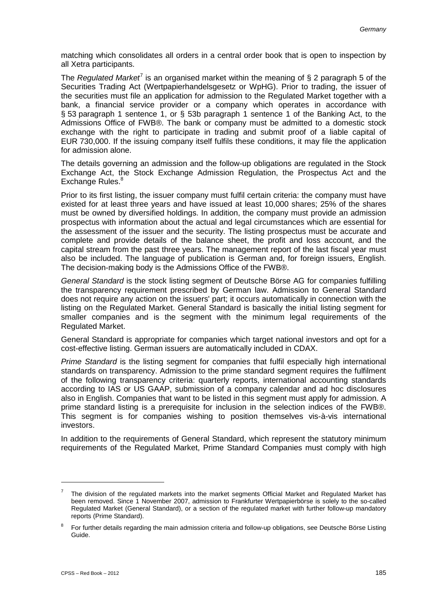matching which consolidates all orders in a central order book that is open to inspection by all Xetra participants.

The *Regulated Market*<sup> $7$ </sup> is an organised market within the meaning of § 2 paragraph 5 of the Securities Trading Act (Wertpapierhandelsgesetz or WpHG). Prior to trading, the issuer of the securities must file an application for admission to the Regulated Market together with a bank, a financial service provider or a company which operates in accordance with § 53 paragraph 1 sentence 1, or § 53b paragraph 1 sentence 1 of the Banking Act, to the Admissions Office of FWB®. The bank or company must be admitted to a domestic stock exchange with the right to participate in trading and submit proof of a liable capital of EUR 730,000. If the issuing company itself fulfils these conditions, it may file the application for admission alone.

The details governing an admission and the follow-up obligations are regulated in the Stock Exchange Act, the Stock Exchange Admission Regulation, the Prospectus Act and the Exchange Rules.<sup>8</sup>

Prior to its first listing, the issuer company must fulfil certain criteria: the company must have existed for at least three years and have issued at least 10,000 shares; 25% of the shares must be owned by diversified holdings. In addition, the company must provide an admission prospectus with information about the actual and legal circumstances which are essential for the assessment of the issuer and the security. The listing prospectus must be accurate and complete and provide details of the balance sheet, the profit and loss account, and the capital stream from the past three years. The management report of the last fiscal year must also be included. The language of publication is German and, for foreign issuers, English. The decision-making body is the Admissions Office of the FWB®.

*General Standard* is the stock listing segment of Deutsche Börse AG for companies fulfilling the transparency requirement prescribed by German law. Admission to General Standard does not require any action on the issuers' part; it occurs automatically in connection with the listing on the Regulated Market. General Standard is basically the initial listing segment for smaller companies and is the segment with the minimum legal requirements of the Regulated Market.

General Standard is appropriate for companies which target national investors and opt for a cost-effective listing. German issuers are automatically included in CDAX.

*Prime Standard* is the listing segment for companies that fulfil especially high international standards on transparency. Admission to the prime standard segment requires the fulfilment of the following transparency criteria: quarterly reports, international accounting standards according to IAS or US GAAP, submission of a company calendar and ad hoc disclosures also in English. Companies that want to be listed in this segment must apply for admission. A prime standard listing is a prerequisite for inclusion in the selection indices of the FWB®. This segment is for companies wishing to position themselves vis-à-vis international investors.

In addition to the requirements of General Standard, which represent the statutory minimum requirements of the Regulated Market, Prime Standard Companies must comply with high

<sup>7</sup> The division of the regulated markets into the market segments Official Market and Regulated Market has been removed. Since 1 November 2007, admission to Frankfurter Wertpapierbörse is solely to the so-called Regulated Market (General Standard), or a section of the regulated market with further follow-up mandatory reports (Prime Standard).

 $8$  For further details regarding the main admission criteria and follow-up obligations, see Deutsche Börse Listing Guide.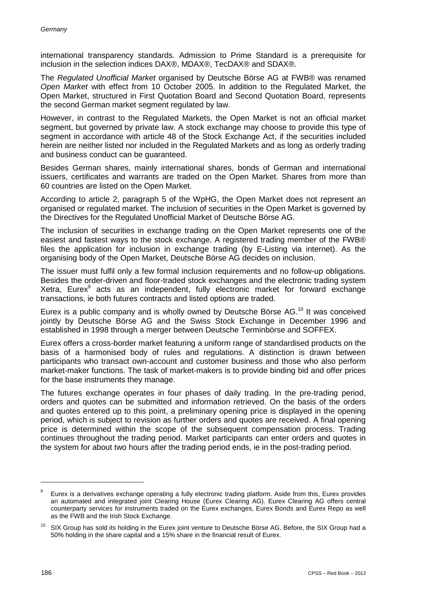international transparency standards. Admission to Prime Standard is a prerequisite for inclusion in the selection indices DAX®, MDAX®, TecDAX® and SDAX®.

The *Regulated Unofficial Market* organised by Deutsche Börse AG at FWB® was renamed *Open Market* with effect from 10 October 2005. In addition to the Regulated Market, the Open Market, structured in First Quotation Board and Second Quotation Board, represents the second German market segment regulated by law.

However, in contrast to the Regulated Markets, the Open Market is not an official market segment, but governed by private law. A stock exchange may choose to provide this type of segment in accordance with article 48 of the Stock Exchange Act, if the securities included herein are neither listed nor included in the Regulated Markets and as long as orderly trading and business conduct can be guaranteed.

Besides German shares, mainly international shares, bonds of German and international issuers, certificates and warrants are traded on the Open Market. Shares from more than 60 countries are listed on the Open Market.

According to article 2, paragraph 5 of the WpHG, the Open Market does not represent an organised or regulated market. The inclusion of securities in the Open Market is governed by the Directives for the Regulated Unofficial Market of Deutsche Börse AG.

The inclusion of securities in exchange trading on the Open Market represents one of the easiest and fastest ways to the stock exchange. A registered trading member of the FWB® files the application for inclusion in exchange trading (by E-Listing via internet). As the organising body of the Open Market, Deutsche Börse AG decides on inclusion.

The issuer must fulfil only a few formal inclusion requirements and no follow-up obligations. Besides the order-driven and floor-traded stock exchanges and the electronic trading system Xetra, Eurex<sup>9</sup> acts as an independent, fully electronic market for forward exchange transactions, ie both futures contracts and listed options are traded.

Eurex is a public company and is wholly owned by Deutsche Börse AG. <sup>10</sup> It was conceived jointly by Deutsche Börse AG and the Swiss Stock Exchange in December 1996 and established in 1998 through a merger between Deutsche Terminbörse and SOFFEX.

Eurex offers a cross-border market featuring a uniform range of standardised products on the basis of a harmonised body of rules and regulations. A distinction is drawn between participants who transact own-account and customer business and those who also perform market-maker functions. The task of market-makers is to provide binding bid and offer prices for the base instruments they manage.

The futures exchange operates in four phases of daily trading. In the pre-trading period, orders and quotes can be submitted and information retrieved. On the basis of the orders and quotes entered up to this point, a preliminary opening price is displayed in the opening period, which is subject to revision as further orders and quotes are received. A final opening price is determined within the scope of the subsequent compensation process. Trading continues throughout the trading period. Market participants can enter orders and quotes in the system for about two hours after the trading period ends, ie in the post-trading period.

 $9$  Eurex is a derivatives exchange operating a fully electronic trading platform. Aside from this, Eurex provides an automated and integrated joint Clearing House (Eurex Clearing AG). Eurex Clearing AG offers central counterparty services for instruments traded on the Eurex exchanges, Eurex Bonds and Eurex Repo as well as the FWB and the Irish Stock Exchange.

 $10$  SIX Group has sold its holding in the Eurex joint venture to Deutsche Börse AG. Before, the SIX Group had a 50% holding in the share capital and a 15% share in the financial result of Eurex.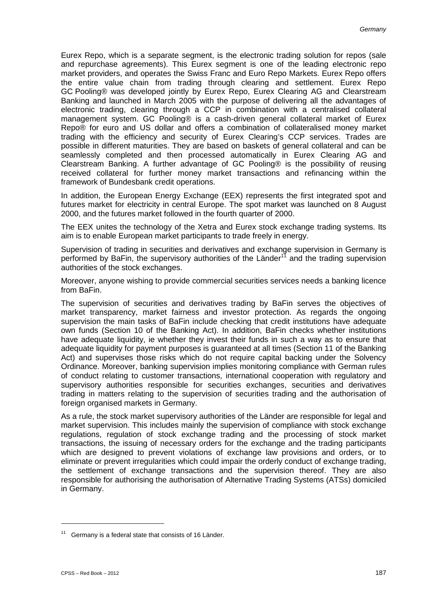Eurex Repo, which is a separate segment, is the electronic trading solution for repos (sale and repurchase agreements). This Eurex segment is one of the leading electronic repo market providers, and operates the Swiss Franc and Euro Repo Markets. Eurex Repo offers the entire value chain from trading through clearing and settlement. Eurex Repo GC Pooling® was developed jointly by Eurex Repo, Eurex Clearing AG and Clearstream Banking and launched in March 2005 with the purpose of delivering all the advantages of electronic trading, clearing through a CCP in combination with a centralised collateral management system. GC Pooling® is a cash-driven general collateral market of Eurex Repo® for euro and US dollar and offers a combination of collateralised money market trading with the efficiency and security of Eurex Clearing's CCP services. Trades are possible in different maturities. They are based on baskets of general collateral and can be seamlessly completed and then processed automatically in Eurex Clearing AG and Clearstream Banking. A further advantage of GC Pooling® is the possibility of reusing received collateral for further money market transactions and refinancing within the framework of Bundesbank credit operations.

In addition, the European Energy Exchange (EEX) represents the first integrated spot and futures market for electricity in central Europe. The spot market was launched on 8 August 2000, and the futures market followed in the fourth quarter of 2000.

The EEX unites the technology of the Xetra and Eurex stock exchange trading systems. Its aim is to enable European market participants to trade freely in energy.

Supervision of trading in securities and derivatives and exchange supervision in Germany is performed by BaFin, the supervisory authorities of the Länder<sup>11</sup> and the trading supervision authorities of the stock exchanges.

Moreover, anyone wishing to provide commercial securities services needs a banking licence from BaFin.

The supervision of securities and derivatives trading by BaFin serves the objectives of market transparency, market fairness and investor protection. As regards the ongoing supervision the main tasks of BaFin include checking that credit institutions have adequate own funds (Section 10 of the Banking Act). In addition, BaFin checks whether institutions have adequate liquidity, ie whether they invest their funds in such a way as to ensure that adequate liquidity for payment purposes is guaranteed at all times (Section 11 of the Banking Act) and supervises those risks which do not require capital backing under the Solvency Ordinance. Moreover, banking supervision implies monitoring compliance with German rules of conduct relating to customer transactions, international cooperation with regulatory and supervisory authorities responsible for securities exchanges, securities and derivatives trading in matters relating to the supervision of securities trading and the authorisation of foreign organised markets in Germany.

As a rule, the stock market supervisory authorities of the Länder are responsible for legal and market supervision. This includes mainly the supervision of compliance with stock exchange regulations, regulation of stock exchange trading and the processing of stock market transactions, the issuing of necessary orders for the exchange and the trading participants which are designed to prevent violations of exchange law provisions and orders, or to eliminate or prevent irregularities which could impair the orderly conduct of exchange trading, the settlement of exchange transactions and the supervision thereof. They are also responsible for authorising the authorisation of Alternative Trading Systems (ATSs) domiciled in Germany.

 $11$  Germany is a federal state that consists of 16 Länder.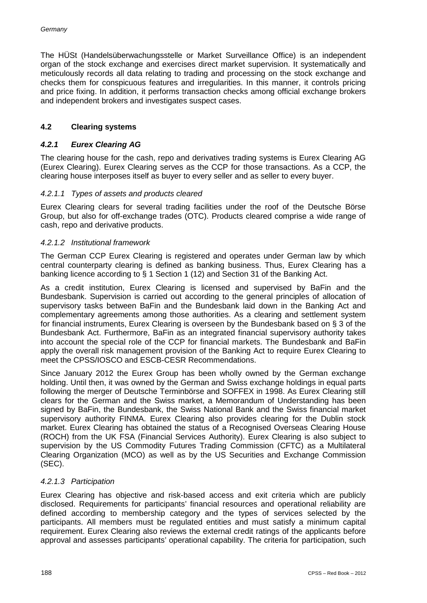The HÜSt (Handelsüberwachungsstelle or Market Surveillance Office) is an independent organ of the stock exchange and exercises direct market supervision. It systematically and meticulously records all data relating to trading and processing on the stock exchange and checks them for conspicuous features and irregularities. In this manner, it controls pricing and price fixing. In addition, it performs transaction checks among official exchange brokers and independent brokers and investigates suspect cases.

## **4.2 Clearing systems**

#### *4.2.1 Eurex Clearing AG*

The clearing house for the cash, repo and derivatives trading systems is Eurex Clearing AG (Eurex Clearing). Eurex Clearing serves as the CCP for those transactions. As a CCP, the clearing house interposes itself as buyer to every seller and as seller to every buyer.

#### *4.2.1.1 Types of assets and products cleared*

Eurex Clearing clears for several trading facilities under the roof of the Deutsche Börse Group, but also for off-exchange trades (OTC). Products cleared comprise a wide range of cash, repo and derivative products.

#### *4.2.1.2 Institutional framework*

The German CCP Eurex Clearing is registered and operates under German law by which central counterparty clearing is defined as banking business. Thus, Eurex Clearing has a banking licence according to § 1 Section 1 (12) and Section 31 of the Banking Act.

As a credit institution, Eurex Clearing is licensed and supervised by BaFin and the Bundesbank. Supervision is carried out according to the general principles of allocation of supervisory tasks between BaFin and the Bundesbank laid down in the Banking Act and complementary agreements among those authorities. As a clearing and settlement system for financial instruments, Eurex Clearing is overseen by the Bundesbank based on § 3 of the Bundesbank Act. Furthermore, BaFin as an integrated financial supervisory authority takes into account the special role of the CCP for financial markets. The Bundesbank and BaFin apply the overall risk management provision of the Banking Act to require Eurex Clearing to meet the CPSS/IOSCO and ESCB-CESR Recommendations.

Since January 2012 the Eurex Group has been wholly owned by the German exchange holding. Until then, it was owned by the German and Swiss exchange holdings in equal parts following the merger of Deutsche Terminbörse and SOFFEX in 1998. As Eurex Clearing still clears for the German and the Swiss market, a Memorandum of Understanding has been signed by BaFin, the Bundesbank, the Swiss National Bank and the Swiss financial market supervisory authority FINMA. Eurex Clearing also provides clearing for the Dublin stock market. Eurex Clearing has obtained the status of a Recognised Overseas Clearing House (ROCH) from the UK FSA (Financial Services Authority). Eurex Clearing is also subject to supervision by the US Commodity Futures Trading Commission (CFTC) as a Multilateral Clearing Organization (MCO) as well as by the US Securities and Exchange Commission (SEC).

#### *4.2.1.3 Participation*

Eurex Clearing has objective and risk-based access and exit criteria which are publicly disclosed. Requirements for participants' financial resources and operational reliability are defined according to membership category and the types of services selected by the participants. All members must be regulated entities and must satisfy a minimum capital requirement. Eurex Clearing also reviews the external credit ratings of the applicants before approval and assesses participants' operational capability. The criteria for participation, such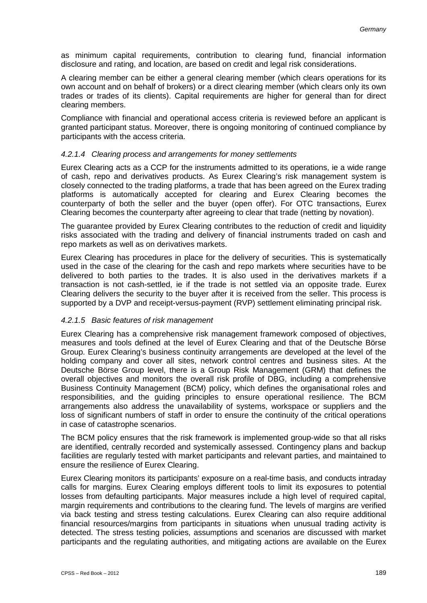as minimum capital requirements, contribution to clearing fund, financial information disclosure and rating, and location, are based on credit and legal risk considerations.

A clearing member can be either a general clearing member (which clears operations for its own account and on behalf of brokers) or a direct clearing member (which clears only its own trades or trades of its clients). Capital requirements are higher for general than for direct clearing members.

Compliance with financial and operational access criteria is reviewed before an applicant is granted participant status. Moreover, there is ongoing monitoring of continued compliance by participants with the access criteria.

#### *4.2.1.4 Clearing process and arrangements for money settlements*

Eurex Clearing acts as a CCP for the instruments admitted to its operations, ie a wide range of cash, repo and derivatives products. As Eurex Clearing's risk management system is closely connected to the trading platforms, a trade that has been agreed on the Eurex trading platforms is automatically accepted for clearing and Eurex Clearing becomes the counterparty of both the seller and the buyer (open offer). For OTC transactions, Eurex Clearing becomes the counterparty after agreeing to clear that trade (netting by novation).

The guarantee provided by Eurex Clearing contributes to the reduction of credit and liquidity risks associated with the trading and delivery of financial instruments traded on cash and repo markets as well as on derivatives markets.

Eurex Clearing has procedures in place for the delivery of securities. This is systematically used in the case of the clearing for the cash and repo markets where securities have to be delivered to both parties to the trades. It is also used in the derivatives markets if a transaction is not cash-settled, ie if the trade is not settled via an opposite trade. Eurex Clearing delivers the security to the buyer after it is received from the seller. This process is supported by a DVP and receipt-versus-payment (RVP) settlement eliminating principal risk.

#### *4.2.1.5 Basic features of risk management*

Eurex Clearing has a comprehensive risk management framework composed of objectives, measures and tools defined at the level of Eurex Clearing and that of the Deutsche Börse Group. Eurex Clearing's business continuity arrangements are developed at the level of the holding company and cover all sites, network control centres and business sites. At the Deutsche Börse Group level, there is a Group Risk Management (GRM) that defines the overall objectives and monitors the overall risk profile of DBG, including a comprehensive Business Continuity Management (BCM) policy, which defines the organisational roles and responsibilities, and the guiding principles to ensure operational resilience. The BCM arrangements also address the unavailability of systems, workspace or suppliers and the loss of significant numbers of staff in order to ensure the continuity of the critical operations in case of catastrophe scenarios.

The BCM policy ensures that the risk framework is implemented group-wide so that all risks are identified, centrally recorded and systemically assessed. Contingency plans and backup facilities are regularly tested with market participants and relevant parties, and maintained to ensure the resilience of Eurex Clearing.

Eurex Clearing monitors its participants' exposure on a real-time basis, and conducts intraday calls for margins. Eurex Clearing employs different tools to limit its exposures to potential losses from defaulting participants. Major measures include a high level of required capital, margin requirements and contributions to the clearing fund. The levels of margins are verified via back testing and stress testing calculations. Eurex Clearing can also require additional financial resources/margins from participants in situations when unusual trading activity is detected. The stress testing policies, assumptions and scenarios are discussed with market participants and the regulating authorities, and mitigating actions are available on the Eurex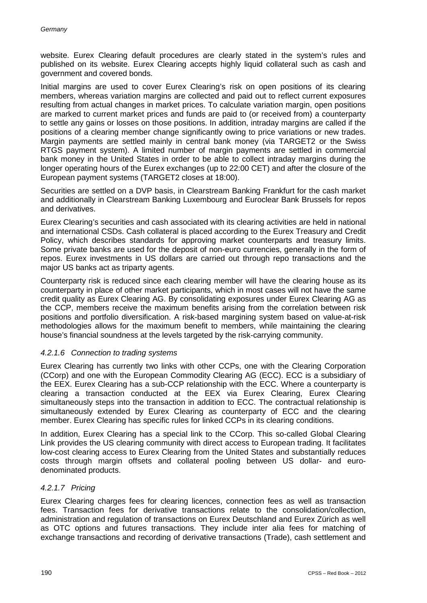website. Eurex Clearing default procedures are clearly stated in the system's rules and published on its website. Eurex Clearing accepts highly liquid collateral such as cash and government and covered bonds.

Initial margins are used to cover Eurex Clearing's risk on open positions of its clearing members, whereas variation margins are collected and paid out to reflect current exposures resulting from actual changes in market prices. To calculate variation margin, open positions are marked to current market prices and funds are paid to (or received from) a counterparty to settle any gains or losses on those positions. In addition, intraday margins are called if the positions of a clearing member change significantly owing to price variations or new trades. Margin payments are settled mainly in central bank money (via TARGET2 or the Swiss RTGS payment system). A limited number of margin payments are settled in commercial bank money in the United States in order to be able to collect intraday margins during the longer operating hours of the Eurex exchanges (up to 22:00 CET) and after the closure of the European payment systems (TARGET2 closes at 18:00).

Securities are settled on a DVP basis, in Clearstream Banking Frankfurt for the cash market and additionally in Clearstream Banking Luxembourg and Euroclear Bank Brussels for repos and derivatives.

Eurex Clearing's securities and cash associated with its clearing activities are held in national and international CSDs. Cash collateral is placed according to the Eurex Treasury and Credit Policy, which describes standards for approving market counterparts and treasury limits. Some private banks are used for the deposit of non-euro currencies, generally in the form of repos. Eurex investments in US dollars are carried out through repo transactions and the major US banks act as triparty agents.

Counterparty risk is reduced since each clearing member will have the clearing house as its counterparty in place of other market participants, which in most cases will not have the same credit quality as Eurex Clearing AG. By consolidating exposures under Eurex Clearing AG as the CCP, members receive the maximum benefits arising from the correlation between risk positions and portfolio diversification. A risk-based margining system based on value-at-risk methodologies allows for the maximum benefit to members, while maintaining the clearing house's financial soundness at the levels targeted by the risk-carrying community.

#### *4.2.1.6 Connection to trading systems*

Eurex Clearing has currently two links with other CCPs, one with the Clearing Corporation (CCorp) and one with the European Commodity Clearing AG (ECC). ECC is a subsidiary of the EEX. Eurex Clearing has a sub-CCP relationship with the ECC. Where a counterparty is clearing a transaction conducted at the EEX via Eurex Clearing, Eurex Clearing simultaneously steps into the transaction in addition to ECC. The contractual relationship is simultaneously extended by Eurex Clearing as counterparty of ECC and the clearing member. Eurex Clearing has specific rules for linked CCPs in its clearing conditions.

In addition, Eurex Clearing has a special link to the CCorp. This so-called Global Clearing Link provides the US clearing community with direct access to European trading. It facilitates low-cost clearing access to Eurex Clearing from the United States and substantially reduces costs through margin offsets and collateral pooling between US dollar- and eurodenominated products.

#### *4.2.1.7 Pricing*

Eurex Clearing charges fees for clearing licences, connection fees as well as transaction fees. Transaction fees for derivative transactions relate to the consolidation/collection, administration and regulation of transactions on Eurex Deutschland and Eurex Zürich as well as OTC options and futures transactions. They include inter alia fees for matching of exchange transactions and recording of derivative transactions (Trade), cash settlement and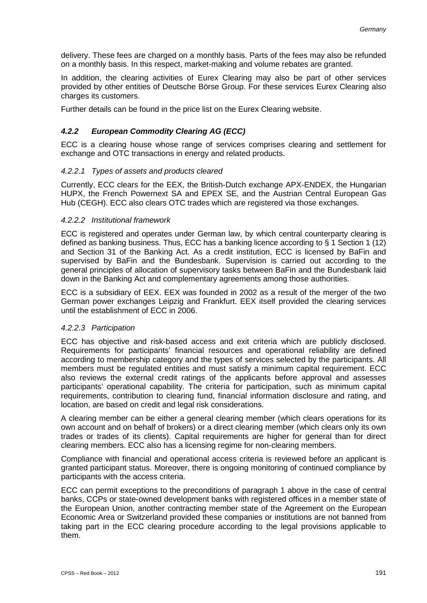delivery. These fees are charged on a monthly basis. Parts of the fees may also be refunded on a monthly basis. In this respect, market-making and volume rebates are granted.

In addition, the clearing activities of Eurex Clearing may also be part of other services provided by other entities of Deutsche Börse Group. For these services Eurex Clearing also charges its customers.

Further details can be found in the price list on the Eurex Clearing website.

# *4.2.2 European Commodity Clearing AG (ECC)*

ECC is a clearing house whose range of services comprises clearing and settlement for exchange and OTC transactions in energy and related products.

## *4.2.2.1 Types of assets and products cleared*

Currently, ECC clears for the EEX, the British-Dutch exchange APX-ENDEX, the Hungarian HUPX, the French Powernext SA and EPEX SE, and the Austrian Central European Gas Hub (CEGH). ECC also clears OTC trades which are registered via those exchanges.

#### *4.2.2.2 Institutional framework*

ECC is registered and operates under German law, by which central counterparty clearing is defined as banking business. Thus, ECC has a banking licence according to § 1 Section 1 (12) and Section 31 of the Banking Act. As a credit institution, ECC is licensed by BaFin and supervised by BaFin and the Bundesbank. Supervision is carried out according to the general principles of allocation of supervisory tasks between BaFin and the Bundesbank laid down in the Banking Act and complementary agreements among those authorities.

ECC is a subsidiary of EEX. EEX was founded in 2002 as a result of the merger of the two German power exchanges Leipzig and Frankfurt. EEX itself provided the clearing services until the establishment of ECC in 2006.

#### *4.2.2.3 Participation*

ECC has objective and risk-based access and exit criteria which are publicly disclosed. Requirements for participants' financial resources and operational reliability are defined according to membership category and the types of services selected by the participants. All members must be regulated entities and must satisfy a minimum capital requirement. ECC also reviews the external credit ratings of the applicants before approval and assesses participants' operational capability. The criteria for participation, such as minimum capital requirements, contribution to clearing fund, financial information disclosure and rating, and location, are based on credit and legal risk considerations.

A clearing member can be either a general clearing member (which clears operations for its own account and on behalf of brokers) or a direct clearing member (which clears only its own trades or trades of its clients). Capital requirements are higher for general than for direct clearing members. ECC also has a licensing regime for non-clearing members.

Compliance with financial and operational access criteria is reviewed before an applicant is granted participant status. Moreover, there is ongoing monitoring of continued compliance by participants with the access criteria.

ECC can permit exceptions to the preconditions of paragraph 1 above in the case of central banks, CCPs or state-owned development banks with registered offices in a member state of the European Union, another contracting member state of the Agreement on the European Economic Area or Switzerland provided these companies or institutions are not banned from taking part in the ECC clearing procedure according to the legal provisions applicable to them.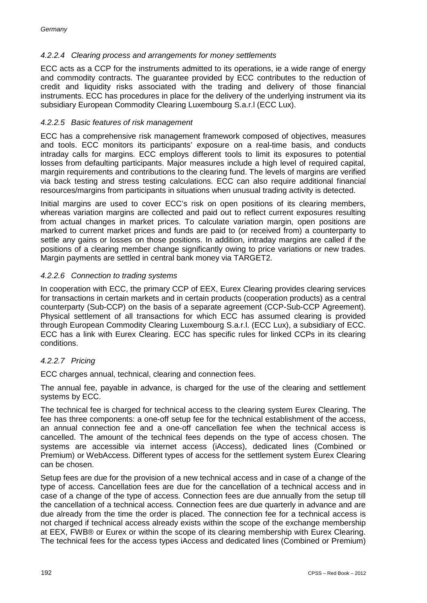# *4.2.2.4 Clearing process and arrangements for money settlements*

ECC acts as a CCP for the instruments admitted to its operations, ie a wide range of energy and commodity contracts. The guarantee provided by ECC contributes to the reduction of credit and liquidity risks associated with the trading and delivery of those financial instruments. ECC has procedures in place for the delivery of the underlying instrument via its subsidiary European Commodity Clearing Luxembourg S.a.r.l (ECC Lux).

#### *4.2.2.5 Basic features of risk management*

ECC has a comprehensive risk management framework composed of objectives, measures and tools. ECC monitors its participants' exposure on a real-time basis, and conducts intraday calls for margins. ECC employs different tools to limit its exposures to potential losses from defaulting participants. Major measures include a high level of required capital, margin requirements and contributions to the clearing fund. The levels of margins are verified via back testing and stress testing calculations. ECC can also require additional financial resources/margins from participants in situations when unusual trading activity is detected.

Initial margins are used to cover ECC's risk on open positions of its clearing members, whereas variation margins are collected and paid out to reflect current exposures resulting from actual changes in market prices. To calculate variation margin, open positions are marked to current market prices and funds are paid to (or received from) a counterparty to settle any gains or losses on those positions. In addition, intraday margins are called if the positions of a clearing member change significantly owing to price variations or new trades. Margin payments are settled in central bank money via TARGET2.

#### *4.2.2.6 Connection to trading systems*

In cooperation with ECC, the primary CCP of EEX, Eurex Clearing provides clearing services for transactions in certain markets and in certain products (cooperation products) as a central counterparty (Sub-CCP) on the basis of a separate agreement (CCP-Sub-CCP Agreement). Physical settlement of all transactions for which ECC has assumed clearing is provided through European Commodity Clearing Luxembourg S.a.r.l. (ECC Lux), a subsidiary of ECC. ECC has a link with Eurex Clearing. ECC has specific rules for linked CCPs in its clearing conditions.

# *4.2.2.7 Pricing*

ECC charges annual, technical, clearing and connection fees.

The annual fee, payable in advance, is charged for the use of the clearing and settlement systems by ECC.

The technical fee is charged for technical access to the clearing system Eurex Clearing. The fee has three components: a one-off setup fee for the technical establishment of the access, an annual connection fee and a one-off cancellation fee when the technical access is cancelled. The amount of the technical fees depends on the type of access chosen. The systems are accessible via internet access (iAccess), dedicated lines (Combined or Premium) or WebAccess. Different types of access for the settlement system Eurex Clearing can be chosen.

Setup fees are due for the provision of a new technical access and in case of a change of the type of access. Cancellation fees are due for the cancellation of a technical access and in case of a change of the type of access. Connection fees are due annually from the setup till the cancellation of a technical access. Connection fees are due quarterly in advance and are due already from the time the order is placed. The connection fee for a technical access is not charged if technical access already exists within the scope of the exchange membership at EEX, FWB® or Eurex or within the scope of its clearing membership with Eurex Clearing. The technical fees for the access types iAccess and dedicated lines (Combined or Premium)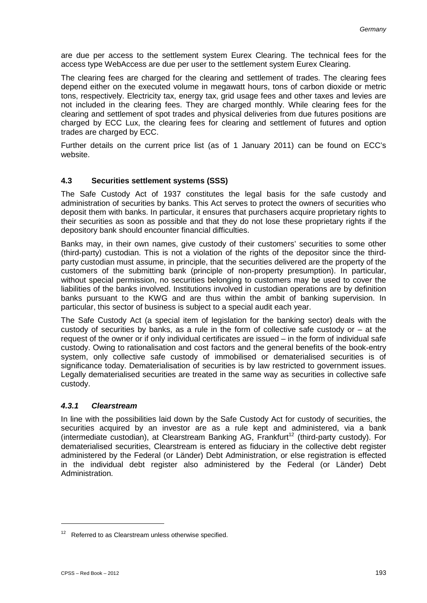are due per access to the settlement system Eurex Clearing. The technical fees for the access type WebAccess are due per user to the settlement system Eurex Clearing.

The clearing fees are charged for the clearing and settlement of trades. The clearing fees depend either on the executed volume in megawatt hours, tons of carbon dioxide or metric tons, respectively. Electricity tax, energy tax, grid usage fees and other taxes and levies are not included in the clearing fees. They are charged monthly. While clearing fees for the clearing and settlement of spot trades and physical deliveries from due futures positions are charged by ECC Lux, the clearing fees for clearing and settlement of futures and option trades are charged by ECC.

Further details on the current price list (as of 1 January 2011) can be found on ECC's website.

## **4.3 Securities settlement systems (SSS)**

The Safe Custody Act of 1937 constitutes the legal basis for the safe custody and administration of securities by banks. This Act serves to protect the owners of securities who deposit them with banks. In particular, it ensures that purchasers acquire proprietary rights to their securities as soon as possible and that they do not lose these proprietary rights if the depository bank should encounter financial difficulties.

Banks may, in their own names, give custody of their customers' securities to some other (third-party) custodian. This is not a violation of the rights of the depositor since the thirdparty custodian must assume, in principle, that the securities delivered are the property of the customers of the submitting bank (principle of non-property presumption). In particular, without special permission, no securities belonging to customers may be used to cover the liabilities of the banks involved. Institutions involved in custodian operations are by definition banks pursuant to the KWG and are thus within the ambit of banking supervision. In particular, this sector of business is subject to a special audit each year.

The Safe Custody Act (a special item of legislation for the banking sector) deals with the custody of securities by banks, as a rule in the form of collective safe custody or – at the request of the owner or if only individual certificates are issued – in the form of individual safe custody. Owing to rationalisation and cost factors and the general benefits of the book-entry system, only collective safe custody of immobilised or dematerialised securities is of significance today. Dematerialisation of securities is by law restricted to government issues. Legally dematerialised securities are treated in the same way as securities in collective safe custody.

#### *4.3.1 Clearstream*

In line with the possibilities laid down by the Safe Custody Act for custody of securities, the securities acquired by an investor are as a rule kept and administered, via a bank (intermediate custodian), at Clearstream Banking AG, Frankfurt<sup>12</sup> (third-party custody). For dematerialised securities, Clearstream is entered as fiduciary in the collective debt register administered by the Federal (or Länder) Debt Administration, or else registration is effected in the individual debt register also administered by the Federal (or Länder) Debt Administration.

 $12$  Referred to as Clearstream unless otherwise specified.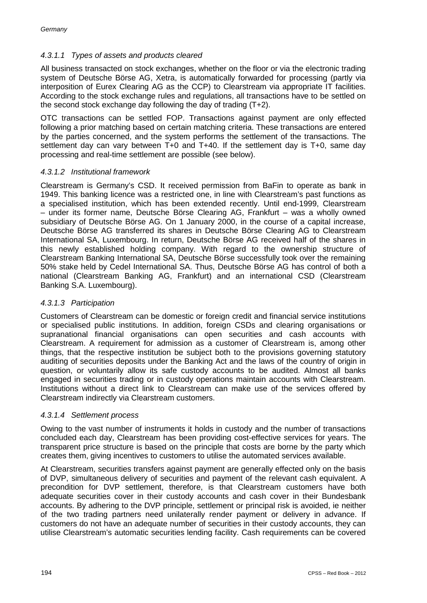# *4.3.1.1 Types of assets and products cleared*

All business transacted on stock exchanges, whether on the floor or via the electronic trading system of Deutsche Börse AG, Xetra, is automatically forwarded for processing (partly via interposition of Eurex Clearing AG as the CCP) to Clearstream via appropriate IT facilities. According to the stock exchange rules and regulations, all transactions have to be settled on the second stock exchange day following the day of trading (T+2).

OTC transactions can be settled FOP. Transactions against payment are only effected following a prior matching based on certain matching criteria. These transactions are entered by the parties concerned, and the system performs the settlement of the transactions. The settlement day can vary between T+0 and T+40. If the settlement day is T+0, same day processing and real-time settlement are possible (see below).

## *4.3.1.2 Institutional framework*

Clearstream is Germany's CSD. It received permission from BaFin to operate as bank in 1949. This banking licence was a restricted one, in line with Clearstream's past functions as a specialised institution, which has been extended recently. Until end-1999, Clearstream – under its former name, Deutsche Börse Clearing AG, Frankfurt – was a wholly owned subsidiary of Deutsche Börse AG. On 1 January 2000, in the course of a capital increase, Deutsche Börse AG transferred its shares in Deutsche Börse Clearing AG to Clearstream International SA, Luxembourg. In return, Deutsche Börse AG received half of the shares in this newly established holding company. With regard to the ownership structure of Clearstream Banking International SA, Deutsche Börse successfully took over the remaining 50% stake held by Cedel International SA. Thus, Deutsche Börse AG has control of both a national (Clearstream Banking AG, Frankfurt) and an international CSD (Clearstream Banking S.A. Luxembourg).

#### *4.3.1.3 Participation*

Customers of Clearstream can be domestic or foreign credit and financial service institutions or specialised public institutions. In addition, foreign CSDs and clearing organisations or supranational financial organisations can open securities and cash accounts with Clearstream. A requirement for admission as a customer of Clearstream is, among other things, that the respective institution be subject both to the provisions governing statutory auditing of securities deposits under the Banking Act and the laws of the country of origin in question, or voluntarily allow its safe custody accounts to be audited. Almost all banks engaged in securities trading or in custody operations maintain accounts with Clearstream. Institutions without a direct link to Clearstream can make use of the services offered by Clearstream indirectly via Clearstream customers.

#### *4.3.1.4 Settlement process*

Owing to the vast number of instruments it holds in custody and the number of transactions concluded each day, Clearstream has been providing cost-effective services for years. The transparent price structure is based on the principle that costs are borne by the party which creates them, giving incentives to customers to utilise the automated services available.

At Clearstream, securities transfers against payment are generally effected only on the basis of DVP, simultaneous delivery of securities and payment of the relevant cash equivalent. A precondition for DVP settlement, therefore, is that Clearstream customers have both adequate securities cover in their custody accounts and cash cover in their Bundesbank accounts. By adhering to the DVP principle, settlement or principal risk is avoided, ie neither of the two trading partners need unilaterally render payment or delivery in advance. If customers do not have an adequate number of securities in their custody accounts, they can utilise Clearstream's automatic securities lending facility. Cash requirements can be covered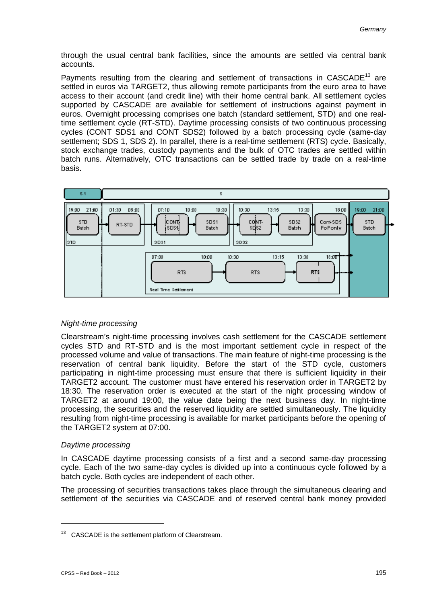through the usual central bank facilities, since the amounts are settled via central bank accounts.

Payments resulting from the clearing and settlement of transactions in  $CASCADE^{13}$  are settled in euros via TARGET2, thus allowing remote participants from the euro area to have access to their account (and credit line) with their home central bank. All settlement cycles supported by CASCADE are available for settlement of instructions against payment in euros. Overnight processing comprises one batch (standard settlement, STD) and one realtime settlement cycle (RT-STD). Daytime processing consists of two continuous processing cycles (CONT SDS1 and CONT SDS2) followed by a batch processing cycle (same-day settlement; SDS 1, SDS 2). In parallel, there is a real-time settlement (RTS) cycle. Basically, stock exchange trades, custody payments and the bulk of OTC trades are settled within batch runs. Alternatively, OTC transactions can be settled trade by trade on a real-time basis.



# *Night-time processing*

Clearstream's night-time processing involves cash settlement for the CASCADE settlement cycles STD and RT-STD and is the most important settlement cycle in respect of the processed volume and value of transactions. The main feature of night-time processing is the reservation of central bank liquidity. Before the start of the STD cycle, customers participating in night-time processing must ensure that there is sufficient liquidity in their TARGET2 account. The customer must have entered his reservation order in TARGET2 by 18:30. The reservation order is executed at the start of the night processing window of TARGET2 at around 19:00, the value date being the next business day. In night-time processing, the securities and the reserved liquidity are settled simultaneously. The liquidity resulting from night-time processing is available for market participants before the opening of the TARGET2 system at 07:00.

#### *Daytime processing*

In CASCADE daytime processing consists of a first and a second same-day processing cycle. Each of the two same-day cycles is divided up into a continuous cycle followed by a batch cycle. Both cycles are independent of each other.

The processing of securities transactions takes place through the simultaneous clearing and settlement of the securities via CASCADE and of reserved central bank money provided

<sup>&</sup>lt;sup>13</sup> CASCADE is the settlement platform of Clearstream.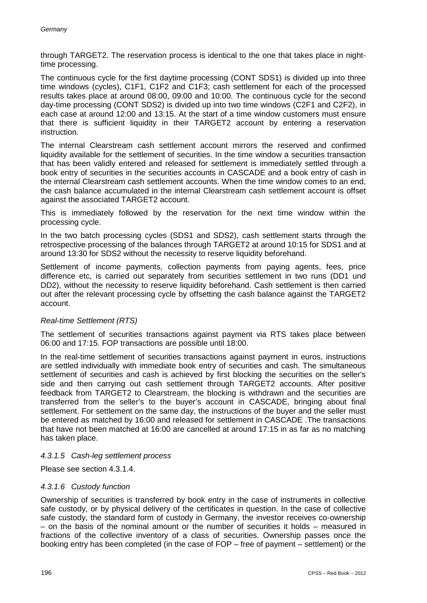through TARGET2. The reservation process is identical to the one that takes place in nighttime processing.

The continuous cycle for the first daytime processing (CONT SDS1) is divided up into three time windows (cycles), C1F1, C1F2 and C1F3; cash settlement for each of the processed results takes place at around 08:00, 09:00 and 10:00. The continuous cycle for the second day-time processing (CONT SDS2) is divided up into two time windows (C2F1 and C2F2), in each case at around 12:00 and 13:15. At the start of a time window customers must ensure that there is sufficient liquidity in their TARGET2 account by entering a reservation instruction.

The internal Clearstream cash settlement account mirrors the reserved and confirmed liquidity available for the settlement of securities. In the time window a securities transaction that has been validly entered and released for settlement is immediately settled through a book entry of securities in the securities accounts in CASCADE and a book entry of cash in the internal Clearstream cash settlement accounts. When the time window comes to an end, the cash balance accumulated in the internal Clearstream cash settlement account is offset against the associated TARGET2 account.

This is immediately followed by the reservation for the next time window within the processing cycle.

In the two batch processing cycles (SDS1 and SDS2), cash settlement starts through the retrospective processing of the balances through TARGET2 at around 10:15 for SDS1 and at around 13:30 for SDS2 without the necessity to reserve liquidity beforehand.

Settlement of income payments, collection payments from paying agents, fees, price difference etc, is carried out separately from securities settlement in two runs (DD1 und DD2), without the necessity to reserve liquidity beforehand. Cash settlement is then carried out after the relevant processing cycle by offsetting the cash balance against the TARGET2 account.

#### *Real-time Settlement (RTS)*

The settlement of securities transactions against payment via RTS takes place between 06:00 and 17:15. FOP transactions are possible until 18:00.

In the real-time settlement of securities transactions against payment in euros, instructions are settled individually with immediate book entry of securities and cash. The simultaneous settlement of securities and cash is achieved by first blocking the securities on the seller's side and then carrying out cash settlement through TARGET2 accounts. After positive feedback from TARGET2 to Clearstream, the blocking is withdrawn and the securities are transferred from the seller's to the buyer's account in CASCADE, bringing about final settlement. For settlement on the same day, the instructions of the buyer and the seller must be entered as matched by 16:00 and released for settlement in CASCADE .The transactions that have not been matched at 16:00 are cancelled at around 17:15 in as far as no matching has taken place.

#### *4.3.1.5 Cash-leg settlement process*

Please see section 4.3.1.4.

#### *4.3.1.6 Custody function*

Ownership of securities is transferred by book entry in the case of instruments in collective safe custody, or by physical delivery of the certificates in question. In the case of collective safe custody, the standard form of custody in Germany, the investor receives co-ownership – on the basis of the nominal amount or the number of securities it holds – measured in fractions of the collective inventory of a class of securities. Ownership passes once the booking entry has been completed (in the case of FOP – free of payment – settlement) or the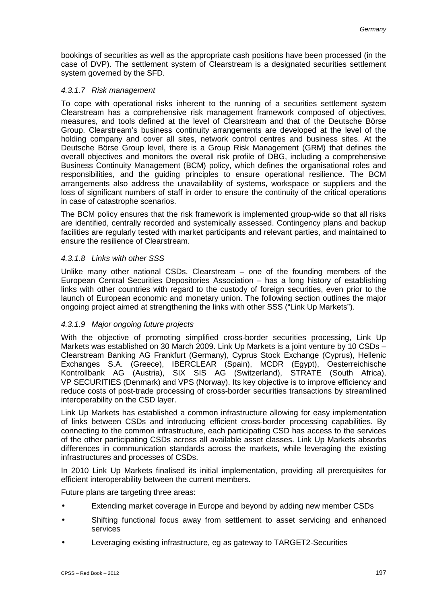bookings of securities as well as the appropriate cash positions have been processed (in the case of DVP). The settlement system of Clearstream is a designated securities settlement system governed by the SFD.

#### *4.3.1.7 Risk management*

To cope with operational risks inherent to the running of a securities settlement system Clearstream has a comprehensive risk management framework composed of objectives, measures, and tools defined at the level of Clearstream and that of the Deutsche Börse Group. Clearstream's business continuity arrangements are developed at the level of the holding company and cover all sites, network control centres and business sites. At the Deutsche Börse Group level, there is a Group Risk Management (GRM) that defines the overall objectives and monitors the overall risk profile of DBG, including a comprehensive Business Continuity Management (BCM) policy, which defines the organisational roles and responsibilities, and the guiding principles to ensure operational resilience. The BCM arrangements also address the unavailability of systems, workspace or suppliers and the loss of significant numbers of staff in order to ensure the continuity of the critical operations in case of catastrophe scenarios.

The BCM policy ensures that the risk framework is implemented group-wide so that all risks are identified, centrally recorded and systemically assessed. Contingency plans and backup facilities are regularly tested with market participants and relevant parties, and maintained to ensure the resilience of Clearstream.

## *4.3.1.8 Links with other SSS*

Unlike many other national CSDs, Clearstream – one of the founding members of the European Central Securities Depositories Association – has a long history of establishing links with other countries with regard to the custody of foreign securities, even prior to the launch of European economic and monetary union. The following section outlines the major ongoing project aimed at strengthening the links with other SSS ("Link Up Markets").

# *4.3.1.9 Major ongoing future projects*

With the objective of promoting simplified cross-border securities processing, Link Up Markets was established on 30 March 2009. Link Up Markets is a joint venture by 10 CSDs – Clearstream Banking AG Frankfurt (Germany), Cyprus Stock Exchange (Cyprus), Hellenic Exchanges S.A. (Greece), IBERCLEAR (Spain), MCDR (Egypt), Oesterreichische Kontrollbank AG (Austria), SIX SIS AG (Switzerland), STRATE (South Africa), VP SECURITIES (Denmark) and VPS (Norway). Its key objective is to improve efficiency and reduce costs of post-trade processing of cross-border securities transactions by streamlined interoperability on the CSD layer.

Link Up Markets has established a common infrastructure allowing for easy implementation of links between CSDs and introducing efficient cross-border processing capabilities. By connecting to the common infrastructure, each participating CSD has access to the services of the other participating CSDs across all available asset classes. Link Up Markets absorbs differences in communication standards across the markets, while leveraging the existing infrastructures and processes of CSDs.

In 2010 Link Up Markets finalised its initial implementation, providing all prerequisites for efficient interoperability between the current members.

Future plans are targeting three areas:

- Extending market coverage in Europe and beyond by adding new member CSDs
- Shifting functional focus away from settlement to asset servicing and enhanced services
- Leveraging existing infrastructure, eg as gateway to TARGET2-Securities